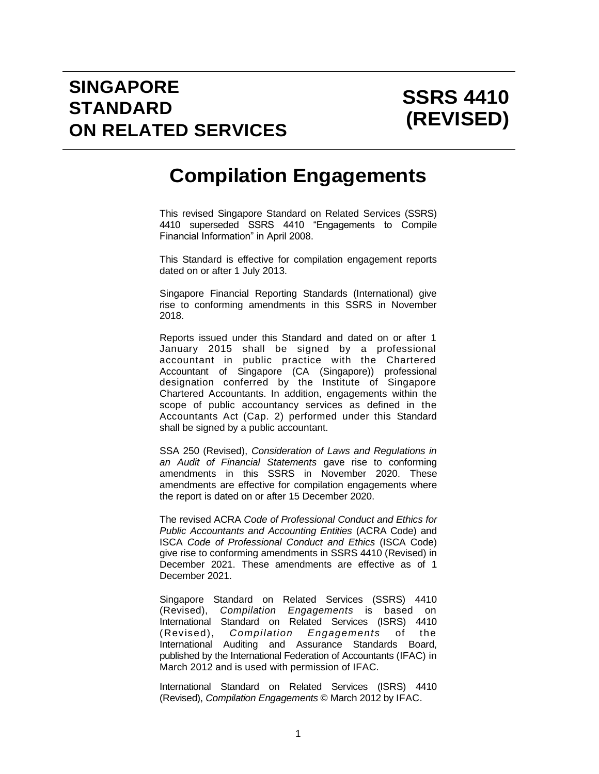# **Compilation Engagements**

This revised Singapore Standard on Related Services (SSRS) 4410 superseded SSRS 4410 "Engagements to Compile Financial Information" in April 2008.

This Standard is effective for compilation engagement reports dated on or after 1 July 2013.

Singapore Financial Reporting Standards (International) give rise to conforming amendments in this SSRS in November 2018.

Reports issued under this Standard and dated on or after 1 January 2015 shall be signed by a professional accountant in public practice with the Chartered Accountant of Singapore (CA (Singapore)) professional designation conferred by the Institute of Singapore Chartered Accountants. In addition, engagements within the scope of public accountancy services as defined in the Accountants Act (Cap. 2) performed under this Standard shall be signed by a public accountant.

SSA 250 (Revised), *Consideration of Laws and Regulations in an Audit of Financial Statements* gave rise to conforming amendments in this SSRS in November 2020. These amendments are effective for compilation engagements where the report is dated on or after 15 December 2020.

The revised ACRA *Code of Professional Conduct and Ethics for Public Accountants and Accounting Entities* (ACRA Code) and ISCA *Code of Professional Conduct and Ethics* (ISCA Code) give rise to conforming amendments in SSRS 4410 (Revised) in December 2021. These amendments are effective as of 1 December 2021.

Singapore Standard on Related Services (SSRS) 4410 (Revised), *Compilation Engagements* is based on International Standard on Related Services (ISRS) 4410 (Revised), *Compilation Engagements* of the International Auditing and Assurance Standards Board, published by the International Federation of Accountants (IFAC) in March 2012 and is used with permission of IFAC.

International Standard on Related Services (ISRS) 4410 (Revised), *Compilation Engagements* © March 2012 by IFAC.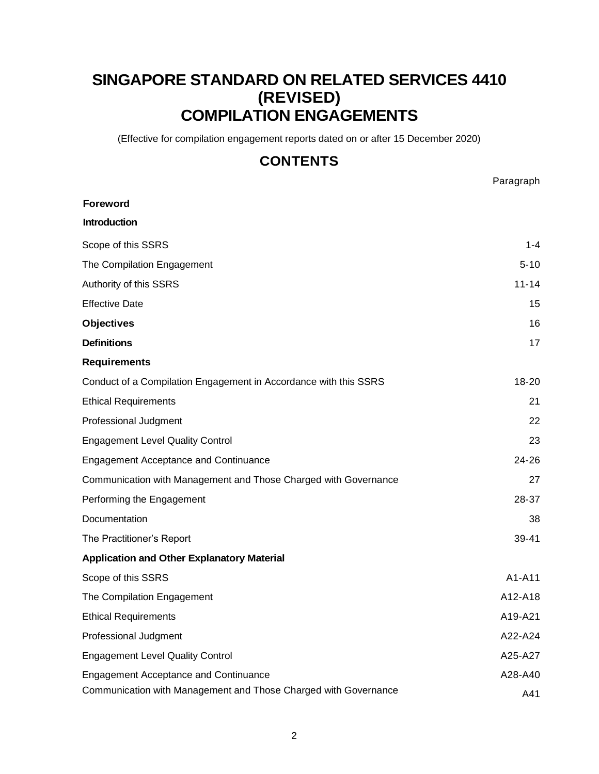# **SINGAPORE STANDARD ON RELATED SERVICES 4410 (REVISED) COMPILATION ENGAGEMENTS**

(Effective for compilation engagement reports dated on or after 15 December 2020)

# **CONTENTS**

Paragraph

| <b>Foreword</b>                                                  |           |
|------------------------------------------------------------------|-----------|
| <b>Introduction</b>                                              |           |
| Scope of this SSRS                                               | 1-4       |
| The Compilation Engagement                                       | $5 - 10$  |
| Authority of this SSRS                                           | $11 - 14$ |
| <b>Effective Date</b>                                            | 15        |
| <b>Objectives</b>                                                | 16        |
| <b>Definitions</b>                                               | 17        |
| <b>Requirements</b>                                              |           |
| Conduct of a Compilation Engagement in Accordance with this SSRS | $18 - 20$ |
| <b>Ethical Requirements</b>                                      | 21        |
| Professional Judgment                                            | 22        |
| <b>Engagement Level Quality Control</b>                          | 23        |
| <b>Engagement Acceptance and Continuance</b>                     | 24-26     |
| Communication with Management and Those Charged with Governance  | 27        |
| Performing the Engagement                                        | 28-37     |
| Documentation                                                    | 38        |
| The Practitioner's Report                                        | 39-41     |
| <b>Application and Other Explanatory Material</b>                |           |
| Scope of this SSRS                                               | A1-A11    |
| The Compilation Engagement                                       | A12-A18   |
| <b>Ethical Requirements</b>                                      | A19-A21   |
| Professional Judgment                                            | A22-A24   |
| <b>Engagement Level Quality Control</b>                          | A25-A27   |
| <b>Engagement Acceptance and Continuance</b>                     | A28-A40   |
| Communication with Management and Those Charged with Governance  | A41       |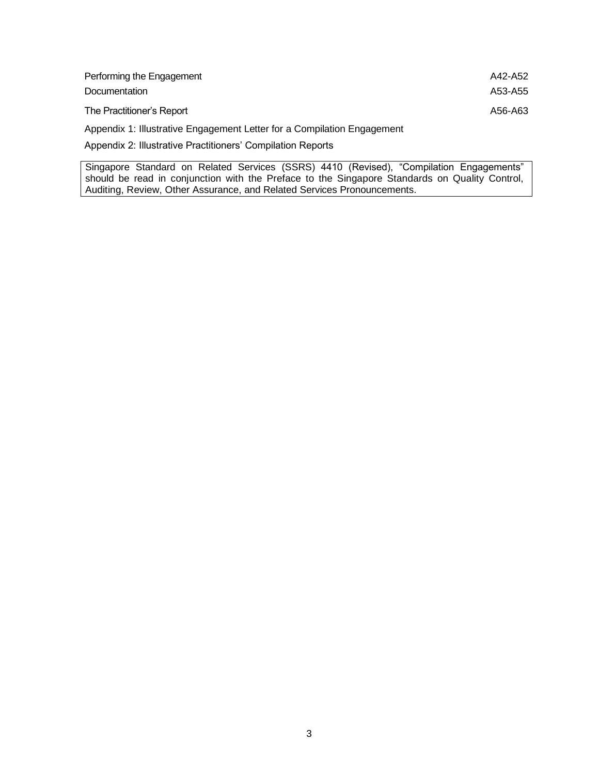| Performing the Engagement                                               | A42-A52 |
|-------------------------------------------------------------------------|---------|
| <b>Documentation</b>                                                    | A53-A55 |
| The Practitioner's Report                                               | A56-A63 |
| Appendix 1: Illustrative Engagement Letter for a Compilation Engagement |         |
| Appendix 2: Illustrative Practitioners' Compilation Reports             |         |

Singapore Standard on Related Services (SSRS) 4410 (Revised), "Compilation Engagements" should be read in conjunction with the Preface to the Singapore Standards on Quality Control, Auditing, Review, Other Assurance, and Related Services Pronouncements.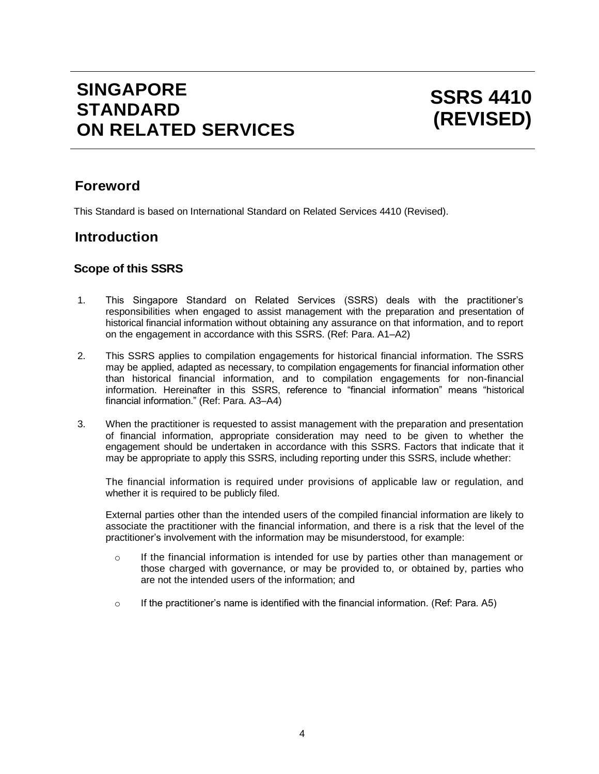# **SINGAPORE STANDARD ON RELATED SERVICES**

# **Foreword**

This Standard is based on International Standard on Related Services 4410 (Revised).

# **Introduction**

### **Scope of this SSRS**

- 1. This Singapore Standard on Related Services (SSRS) deals with the practitioner's responsibilities when engaged to assist management with the preparation and presentation of historical financial information without obtaining any assurance on that information, and to report on the engagement in accordance with this SSRS. (Ref: Para. A1–A2)
- 2. This SSRS applies to compilation engagements for historical financial information. The SSRS may be applied, adapted as necessary, to compilation engagements for financial information other than historical financial information, and to compilation engagements for non-financial information. Hereinafter in this SSRS, reference to "financial information" means "historical financial information." (Ref: Para. A3–A4)
- 3. When the practitioner is requested to assist management with the preparation and presentation of financial information, appropriate consideration may need to be given to whether the engagement should be undertaken in accordance with this SSRS. Factors that indicate that it may be appropriate to apply this SSRS, including reporting under this SSRS, include whether:

The financial information is required under provisions of applicable law or regulation, and whether it is required to be publicly filed.

External parties other than the intended users of the compiled financial information are likely to associate the practitioner with the financial information, and there is a risk that the level of the practitioner's involvement with the information may be misunderstood, for example:

- $\circ$  If the financial information is intended for use by parties other than management or those charged with governance, or may be provided to, or obtained by, parties who are not the intended users of the information; and
- $\circ$  If the practitioner's name is identified with the financial information. (Ref: Para, A5)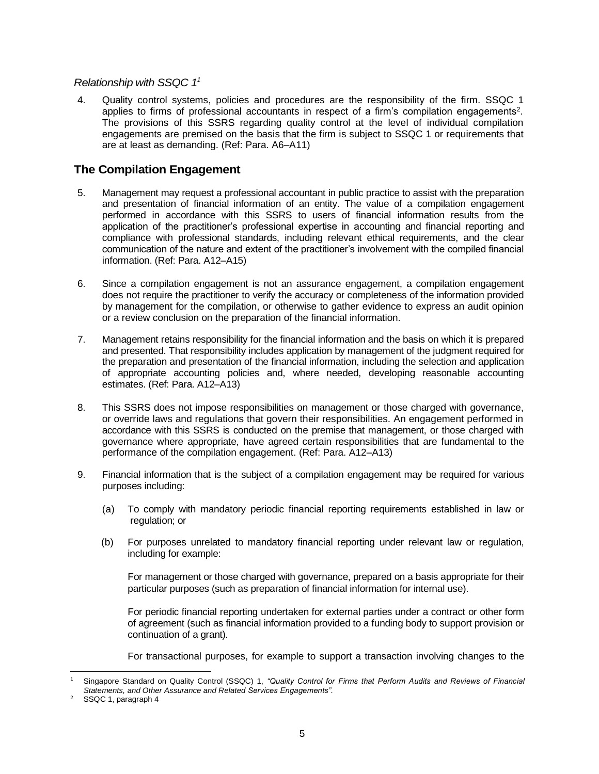#### *Relationship with SSQC 1<sup>1</sup>*

4. Quality control systems, policies and procedures are the responsibility of the firm. SSQC 1 applies to firms of professional accountants in respect of a firm's compilation engagements<sup>2</sup>. The provisions of this SSRS regarding quality control at the level of individual compilation engagements are premised on the basis that the firm is subject to SSQC 1 or requirements that are at least as demanding. (Ref: Para. A6–A11)

## **The Compilation Engagement**

- 5. Management may request a professional accountant in public practice to assist with the preparation and presentation of financial information of an entity. The value of a compilation engagement performed in accordance with this SSRS to users of financial information results from the application of the practitioner's professional expertise in accounting and financial reporting and compliance with professional standards, including relevant ethical requirements, and the clear communication of the nature and extent of the practitioner's involvement with the compiled financial information. (Ref: Para. A12–A15)
- 6. Since a compilation engagement is not an assurance engagement, a compilation engagement does not require the practitioner to verify the accuracy or completeness of the information provided by management for the compilation, or otherwise to gather evidence to express an audit opinion or a review conclusion on the preparation of the financial information.
- 7. Management retains responsibility for the financial information and the basis on which it is prepared and presented. That responsibility includes application by management of the judgment required for the preparation and presentation of the financial information, including the selection and application of appropriate accounting policies and, where needed, developing reasonable accounting estimates. (Ref: Para. A12–A13)
- 8. This SSRS does not impose responsibilities on management or those charged with governance, or override laws and regulations that govern their responsibilities. An engagement performed in accordance with this SSRS is conducted on the premise that management, or those charged with governance where appropriate, have agreed certain responsibilities that are fundamental to the performance of the compilation engagement. (Ref: Para. A12–A13)
- 9. Financial information that is the subject of a compilation engagement may be required for various purposes including:
	- (a) To comply with mandatory periodic financial reporting requirements established in law or regulation; or
	- (b) For purposes unrelated to mandatory financial reporting under relevant law or regulation, including for example:

For management or those charged with governance, prepared on a basis appropriate for their particular purposes (such as preparation of financial information for internal use).

For periodic financial reporting undertaken for external parties under a contract or other form of agreement (such as financial information provided to a funding body to support provision or continuation of a grant).

For transactional purposes, for example to support a transaction involving changes to the

<sup>1</sup> Singapore Standard on Quality Control (SSQC) 1, *"Quality Control for Firms that Perform Audits and Reviews of Financial Statements, and Other Assurance and Related Services Engagements".*

<sup>&</sup>lt;sup>2</sup> SSQC 1, paragraph 4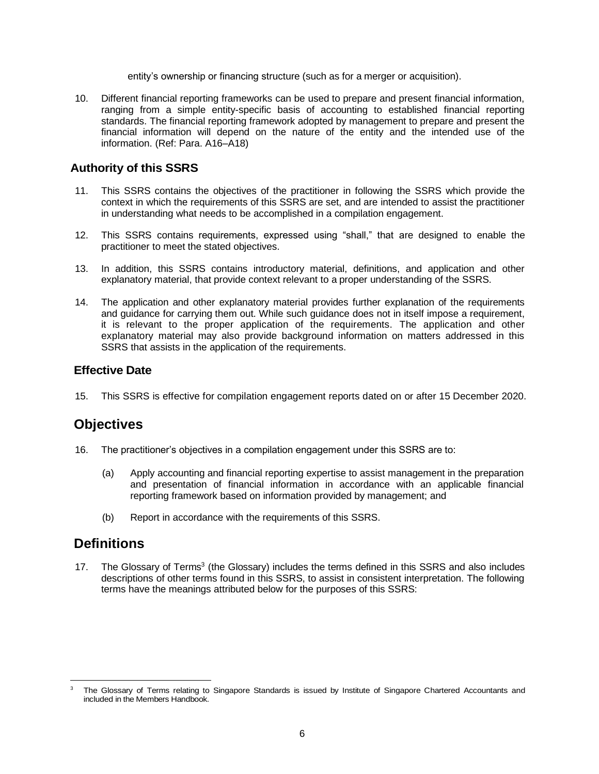entity's ownership or financing structure (such as for a merger or acquisition).

10. Different financial reporting frameworks can be used to prepare and present financial information, ranging from a simple entity-specific basis of accounting to established financial reporting standards. The financial reporting framework adopted by management to prepare and present the financial information will depend on the nature of the entity and the intended use of the information. (Ref: Para. A16–A18)

### **Authority of this SSRS**

- 11. This SSRS contains the objectives of the practitioner in following the SSRS which provide the context in which the requirements of this SSRS are set, and are intended to assist the practitioner in understanding what needs to be accomplished in a compilation engagement.
- 12. This SSRS contains requirements, expressed using "shall," that are designed to enable the practitioner to meet the stated objectives.
- 13. In addition, this SSRS contains introductory material, definitions, and application and other explanatory material, that provide context relevant to a proper understanding of the SSRS.
- 14. The application and other explanatory material provides further explanation of the requirements and guidance for carrying them out. While such guidance does not in itself impose a requirement, it is relevant to the proper application of the requirements. The application and other explanatory material may also provide background information on matters addressed in this SSRS that assists in the application of the requirements.

#### **Effective Date**

15. This SSRS is effective for compilation engagement reports dated on or after 15 December 2020.

# **Objectives**

- 16. The practitioner's objectives in a compilation engagement under this SSRS are to:
	- (a) Apply accounting and financial reporting expertise to assist management in the preparation and presentation of financial information in accordance with an applicable financial reporting framework based on information provided by management; and
	- (b) Report in accordance with the requirements of this SSRS.

## **Definitions**

17. The Glossary of Terms<sup>3</sup> (the Glossary) includes the terms defined in this SSRS and also includes descriptions of other terms found in this SSRS, to assist in consistent interpretation. The following terms have the meanings attributed below for the purposes of this SSRS:

The Glossary of Terms relating to Singapore Standards is issued by Institute of Singapore Chartered Accountants and included in the Members Handbook.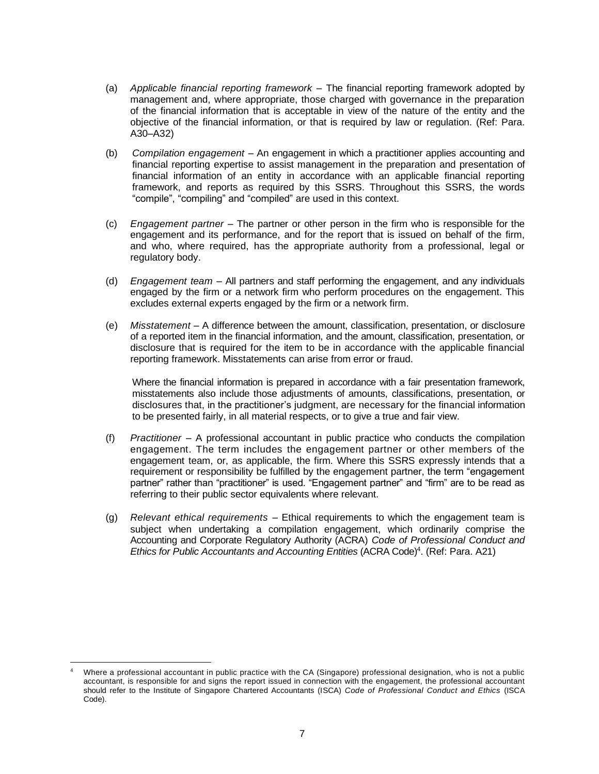- (a) *Applicable financial reporting framework* The financial reporting framework adopted by management and, where appropriate, those charged with governance in the preparation of the financial information that is acceptable in view of the nature of the entity and the objective of the financial information, or that is required by law or regulation. (Ref: Para. A30–A32)
- (b) *Compilation engagement* An engagement in which a practitioner applies accounting and financial reporting expertise to assist management in the preparation and presentation of financial information of an entity in accordance with an applicable financial reporting framework, and reports as required by this SSRS. Throughout this SSRS, the words "compile", "compiling" and "compiled" are used in this context.
- (c) *Engagement partner* The partner or other person in the firm who is responsible for the engagement and its performance, and for the report that is issued on behalf of the firm, and who, where required, has the appropriate authority from a professional, legal or regulatory body.
- (d) *Engagement team* All partners and staff performing the engagement, and any individuals engaged by the firm or a network firm who perform procedures on the engagement. This excludes external experts engaged by the firm or a network firm.
- (e) *Misstatement* A difference between the amount, classification, presentation, or disclosure of a reported item in the financial information, and the amount, classification, presentation, or disclosure that is required for the item to be in accordance with the applicable financial reporting framework. Misstatements can arise from error or fraud.

Where the financial information is prepared in accordance with a fair presentation framework, misstatements also include those adjustments of amounts, classifications, presentation, or disclosures that, in the practitioner's judgment, are necessary for the financial information to be presented fairly, in all material respects, or to give a true and fair view.

- (f) *Practitioner* A professional accountant in public practice who conducts the compilation engagement. The term includes the engagement partner or other members of the engagement team, or, as applicable, the firm. Where this SSRS expressly intends that a requirement or responsibility be fulfilled by the engagement partner, the term "engagement partner" rather than "practitioner" is used. "Engagement partner" and "firm" are to be read as referring to their public sector equivalents where relevant.
- (g) *Relevant ethical requirements* Ethical requirements to which the engagement team is subject when undertaking a compilation engagement, which ordinarily comprise the Accounting and Corporate Regulatory Authority (ACRA) *Code of Professional Conduct and*  Ethics for Public Accountants and Accounting Entities (ACRA Code)<sup>4</sup>. (Ref: Para. A21)

Where a professional accountant in public practice with the CA (Singapore) professional designation, who is not a public accountant, is responsible for and signs the report issued in connection with the engagement, the professional accountant should refer to the Institute of Singapore Chartered Accountants (ISCA) *Code of Professional Conduct and Ethics* (ISCA Code).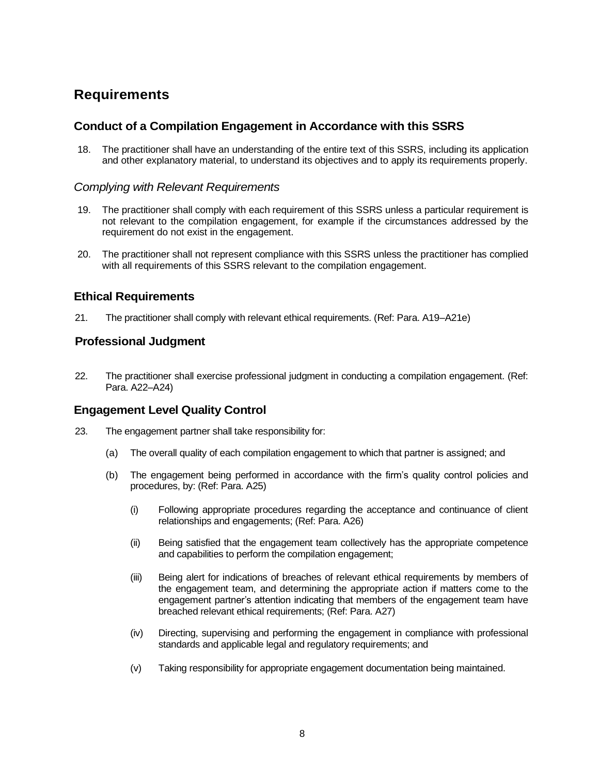# **Requirements**

#### **Conduct of a Compilation Engagement in Accordance with this SSRS**

18. The practitioner shall have an understanding of the entire text of this SSRS, including its application and other explanatory material, to understand its objectives and to apply its requirements properly.

#### *Complying with Relevant Requirements*

- 19. The practitioner shall comply with each requirement of this SSRS unless a particular requirement is not relevant to the compilation engagement, for example if the circumstances addressed by the requirement do not exist in the engagement.
- 20. The practitioner shall not represent compliance with this SSRS unless the practitioner has complied with all requirements of this SSRS relevant to the compilation engagement.

#### **Ethical Requirements**

21. The practitioner shall comply with relevant ethical requirements. (Ref: Para. A19–A21e)

#### **Professional Judgment**

22. The practitioner shall exercise professional judgment in conducting a compilation engagement. (Ref: Para. A22–A24)

#### **Engagement Level Quality Control**

- 23. The engagement partner shall take responsibility for:
	- (a) The overall quality of each compilation engagement to which that partner is assigned; and
	- (b) The engagement being performed in accordance with the firm's quality control policies and procedures, by: (Ref: Para. A25)
		- (i) Following appropriate procedures regarding the acceptance and continuance of client relationships and engagements; (Ref: Para. A26)
		- (ii) Being satisfied that the engagement team collectively has the appropriate competence and capabilities to perform the compilation engagement;
		- (iii) Being alert for indications of breaches of relevant ethical requirements by members of the engagement team, and determining the appropriate action if matters come to the engagement partner's attention indicating that members of the engagement team have breached relevant ethical requirements; (Ref: Para. A27)
		- (iv) Directing, supervising and performing the engagement in compliance with professional standards and applicable legal and regulatory requirements; and
		- (v) Taking responsibility for appropriate engagement documentation being maintained.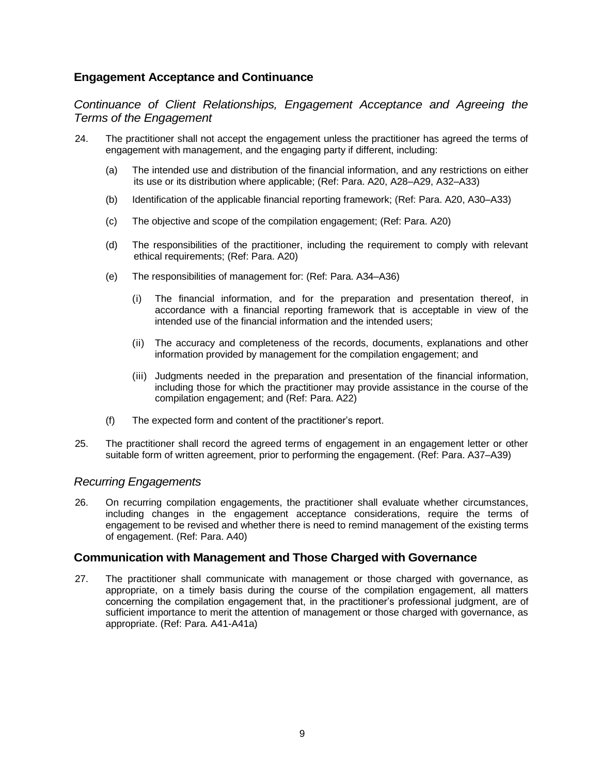#### **Engagement Acceptance and Continuance**

*Continuance of Client Relationships, Engagement Acceptance and Agreeing the Terms of the Engagement*

- 24. The practitioner shall not accept the engagement unless the practitioner has agreed the terms of engagement with management, and the engaging party if different, including:
	- (a) The intended use and distribution of the financial information, and any restrictions on either its use or its distribution where applicable; (Ref: Para. A20, A28–A29, A32–A33)
	- (b) Identification of the applicable financial reporting framework; (Ref: Para. A20, A30–A33)
	- (c) The objective and scope of the compilation engagement; (Ref: Para. A20)
	- (d) The responsibilities of the practitioner, including the requirement to comply with relevant ethical requirements; (Ref: Para. A20)
	- (e) The responsibilities of management for: (Ref: Para. A34–A36)
		- (i) The financial information, and for the preparation and presentation thereof, in accordance with a financial reporting framework that is acceptable in view of the intended use of the financial information and the intended users;
		- (ii) The accuracy and completeness of the records, documents, explanations and other information provided by management for the compilation engagement; and
		- (iii) Judgments needed in the preparation and presentation of the financial information, including those for which the practitioner may provide assistance in the course of the compilation engagement; and (Ref: Para. A22)
	- (f) The expected form and content of the practitioner's report.
- 25. The practitioner shall record the agreed terms of engagement in an engagement letter or other suitable form of written agreement, prior to performing the engagement. (Ref: Para. A37–A39)

#### *Recurring Engagements*

26. On recurring compilation engagements, the practitioner shall evaluate whether circumstances, including changes in the engagement acceptance considerations, require the terms of engagement to be revised and whether there is need to remind management of the existing terms of engagement. (Ref: Para. A40)

#### **Communication with Management and Those Charged with Governance**

27. The practitioner shall communicate with management or those charged with governance, as appropriate, on a timely basis during the course of the compilation engagement, all matters concerning the compilation engagement that, in the practitioner's professional judgment, are of sufficient importance to merit the attention of management or those charged with governance, as appropriate. (Ref: Para. A41-A41a)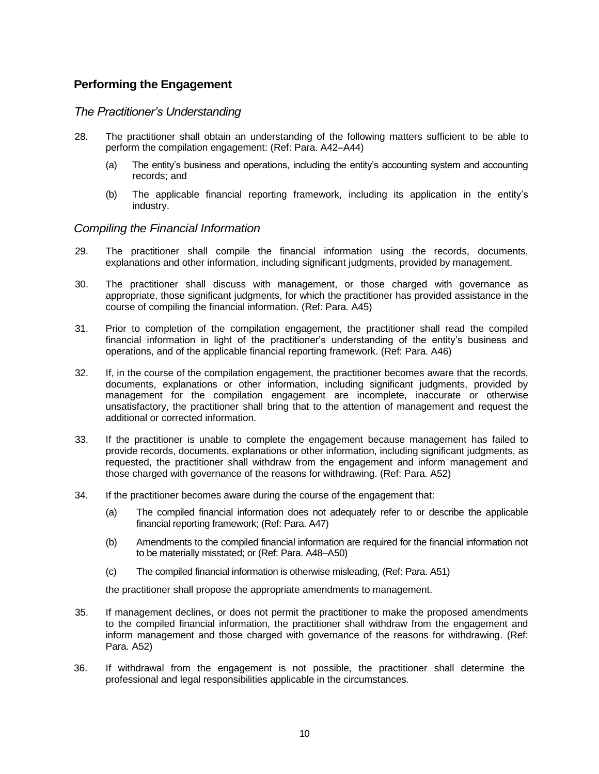### **Performing the Engagement**

#### *The Practitioner's Understanding*

- 28. The practitioner shall obtain an understanding of the following matters sufficient to be able to perform the compilation engagement: (Ref: Para. A42–A44)
	- (a) The entity's business and operations, including the entity's accounting system and accounting records; and
	- (b) The applicable financial reporting framework, including its application in the entity's industry.

#### *Compiling the Financial Information*

- 29. The practitioner shall compile the financial information using the records, documents, explanations and other information, including significant judgments, provided by management.
- 30. The practitioner shall discuss with management, or those charged with governance as appropriate, those significant judgments, for which the practitioner has provided assistance in the course of compiling the financial information. (Ref: Para. A45)
- 31. Prior to completion of the compilation engagement, the practitioner shall read the compiled financial information in light of the practitioner's understanding of the entity's business and operations, and of the applicable financial reporting framework. (Ref: Para. A46)
- 32. If, in the course of the compilation engagement, the practitioner becomes aware that the records, documents, explanations or other information, including significant judgments, provided by management for the compilation engagement are incomplete, inaccurate or otherwise unsatisfactory, the practitioner shall bring that to the attention of management and request the additional or corrected information.
- 33. If the practitioner is unable to complete the engagement because management has failed to provide records, documents, explanations or other information, including significant judgments, as requested, the practitioner shall withdraw from the engagement and inform management and those charged with governance of the reasons for withdrawing. (Ref: Para. A52)
- 34. If the practitioner becomes aware during the course of the engagement that:
	- (a) The compiled financial information does not adequately refer to or describe the applicable financial reporting framework; (Ref: Para. A47)
	- (b) Amendments to the compiled financial information are required for the financial information not to be materially misstated; or (Ref: Para. A48–A50)
	- (c) The compiled financial information is otherwise misleading, (Ref: Para. A51)

the practitioner shall propose the appropriate amendments to management.

- 35. If management declines, or does not permit the practitioner to make the proposed amendments to the compiled financial information, the practitioner shall withdraw from the engagement and inform management and those charged with governance of the reasons for withdrawing. (Ref: Para. A52)
- 36. If withdrawal from the engagement is not possible, the practitioner shall determine the professional and legal responsibilities applicable in the circumstances.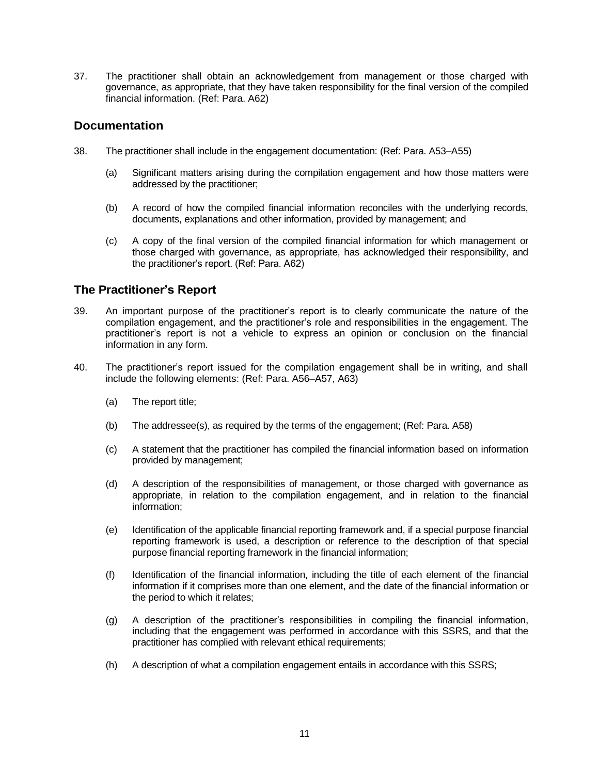37. The practitioner shall obtain an acknowledgement from management or those charged with governance, as appropriate, that they have taken responsibility for the final version of the compiled financial information. (Ref: Para. A62)

#### **Documentation**

- 38. The practitioner shall include in the engagement documentation: (Ref: Para. A53–A55)
	- (a) Significant matters arising during the compilation engagement and how those matters were addressed by the practitioner;
	- (b) A record of how the compiled financial information reconciles with the underlying records, documents, explanations and other information, provided by management; and
	- (c) A copy of the final version of the compiled financial information for which management or those charged with governance, as appropriate, has acknowledged their responsibility, and the practitioner's report. (Ref: Para. A62)

### **The Practitioner's Report**

- 39. An important purpose of the practitioner's report is to clearly communicate the nature of the compilation engagement, and the practitioner's role and responsibilities in the engagement. The practitioner's report is not a vehicle to express an opinion or conclusion on the financial information in any form.
- 40. The practitioner's report issued for the compilation engagement shall be in writing, and shall include the following elements: (Ref: Para. A56–A57, A63)
	- (a) The report title;
	- (b) The addressee(s), as required by the terms of the engagement; (Ref: Para. A58)
	- (c) A statement that the practitioner has compiled the financial information based on information provided by management;
	- (d) A description of the responsibilities of management, or those charged with governance as appropriate, in relation to the compilation engagement, and in relation to the financial information;
	- (e) Identification of the applicable financial reporting framework and, if a special purpose financial reporting framework is used, a description or reference to the description of that special purpose financial reporting framework in the financial information;
	- (f) Identification of the financial information, including the title of each element of the financial information if it comprises more than one element, and the date of the financial information or the period to which it relates;
	- (g) A description of the practitioner's responsibilities in compiling the financial information, including that the engagement was performed in accordance with this SSRS, and that the practitioner has complied with relevant ethical requirements;
	- (h) A description of what a compilation engagement entails in accordance with this SSRS;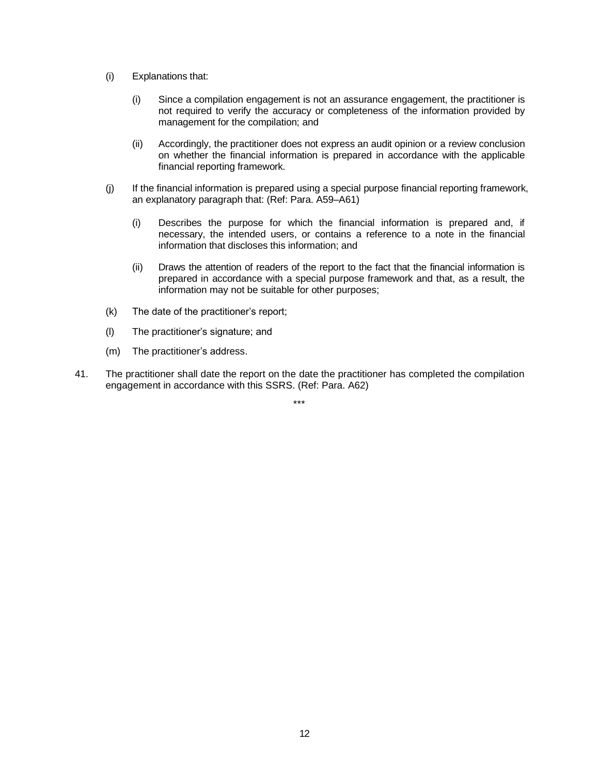- (i) Explanations that:
	- (i) Since a compilation engagement is not an assurance engagement, the practitioner is not required to verify the accuracy or completeness of the information provided by management for the compilation; and
	- (ii) Accordingly, the practitioner does not express an audit opinion or a review conclusion on whether the financial information is prepared in accordance with the applicable financial reporting framework.
- (j) If the financial information is prepared using a special purpose financial reporting framework, an explanatory paragraph that: (Ref: Para. A59–A61)
	- (i) Describes the purpose for which the financial information is prepared and, if necessary, the intended users, or contains a reference to a note in the financial information that discloses this information; and
	- (ii) Draws the attention of readers of the report to the fact that the financial information is prepared in accordance with a special purpose framework and that, as a result, the information may not be suitable for other purposes;
- (k) The date of the practitioner's report;
- (l) The practitioner's signature; and
- (m) The practitioner's address.
- 41. The practitioner shall date the report on the date the practitioner has completed the compilation engagement in accordance with this SSRS. (Ref: Para. A62)

\*\*\*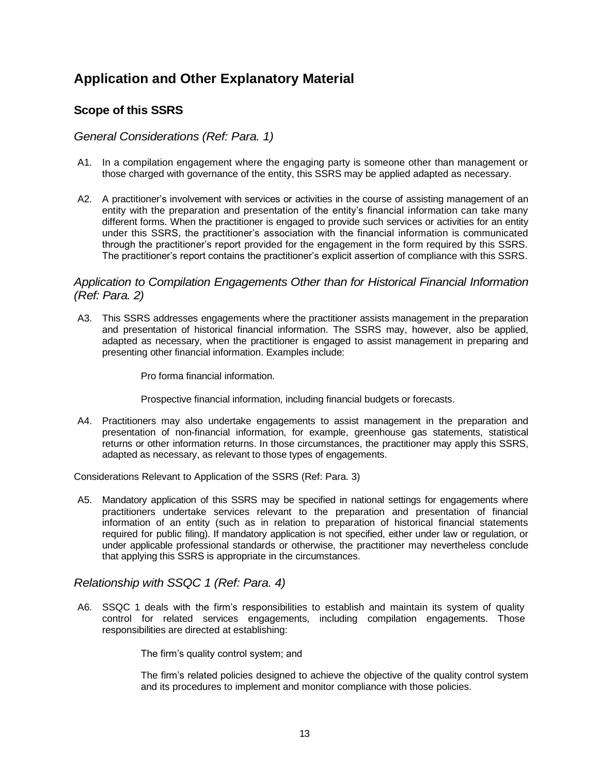# **Application and Other Explanatory Material**

## **Scope of this SSRS**

#### *General Considerations (Ref: Para. 1)*

- A1. In a compilation engagement where the engaging party is someone other than management or those charged with governance of the entity, this SSRS may be applied adapted as necessary.
- A2. A practitioner's involvement with services or activities in the course of assisting management of an entity with the preparation and presentation of the entity's financial information can take many different forms. When the practitioner is engaged to provide such services or activities for an entity under this SSRS, the practitioner's association with the financial information is communicated through the practitioner's report provided for the engagement in the form required by this SSRS. The practitioner's report contains the practitioner's explicit assertion of compliance with this SSRS.

#### *Application to Compilation Engagements Other than for Historical Financial Information (Ref: Para. 2)*

A3. This SSRS addresses engagements where the practitioner assists management in the preparation and presentation of historical financial information. The SSRS may, however, also be applied, adapted as necessary, when the practitioner is engaged to assist management in preparing and presenting other financial information. Examples include:

Pro forma financial information.

Prospective financial information, including financial budgets or forecasts.

A4. Practitioners may also undertake engagements to assist management in the preparation and presentation of non-financial information, for example, greenhouse gas statements, statistical returns or other information returns. In those circumstances, the practitioner may apply this SSRS, adapted as necessary, as relevant to those types of engagements.

Considerations Relevant to Application of the SSRS (Ref: Para. 3)

A5. Mandatory application of this SSRS may be specified in national settings for engagements where practitioners undertake services relevant to the preparation and presentation of financial information of an entity (such as in relation to preparation of historical financial statements required for public filing). If mandatory application is not specified, either under law or regulation, or under applicable professional standards or otherwise, the practitioner may nevertheless conclude that applying this SSRS is appropriate in the circumstances.

#### *Relationship with SSQC 1 (Ref: Para. 4)*

A6. SSQC 1 deals with the firm's responsibilities to establish and maintain its system of quality control for related services engagements, including compilation engagements. Those responsibilities are directed at establishing:

The firm's quality control system; and

The firm's related policies designed to achieve the objective of the quality control system and its procedures to implement and monitor compliance with those policies.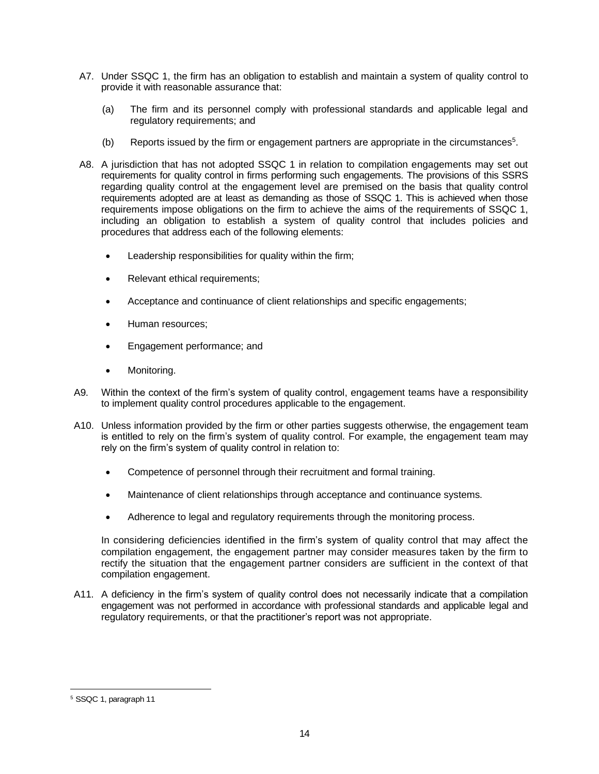- A7. Under SSQC 1, the firm has an obligation to establish and maintain a system of quality control to provide it with reasonable assurance that:
	- (a) The firm and its personnel comply with professional standards and applicable legal and regulatory requirements; and
	- (b) Reports issued by the firm or engagement partners are appropriate in the circumstances<sup>5</sup>.
- A8. A jurisdiction that has not adopted SSQC 1 in relation to compilation engagements may set out requirements for quality control in firms performing such engagements. The provisions of this SSRS regarding quality control at the engagement level are premised on the basis that quality control requirements adopted are at least as demanding as those of SSQC 1. This is achieved when those requirements impose obligations on the firm to achieve the aims of the requirements of SSQC 1, including an obligation to establish a system of quality control that includes policies and procedures that address each of the following elements:
	- Leadership responsibilities for quality within the firm;
	- Relevant ethical requirements;
	- Acceptance and continuance of client relationships and specific engagements;
	- Human resources:
	- Engagement performance; and
	- Monitoring.
- A9. Within the context of the firm's system of quality control, engagement teams have a responsibility to implement quality control procedures applicable to the engagement.
- A10. Unless information provided by the firm or other parties suggests otherwise, the engagement team is entitled to rely on the firm's system of quality control. For example, the engagement team may rely on the firm's system of quality control in relation to:
	- Competence of personnel through their recruitment and formal training.
	- Maintenance of client relationships through acceptance and continuance systems.
	- Adherence to legal and regulatory requirements through the monitoring process.

In considering deficiencies identified in the firm's system of quality control that may affect the compilation engagement, the engagement partner may consider measures taken by the firm to rectify the situation that the engagement partner considers are sufficient in the context of that compilation engagement.

A11. A deficiency in the firm's system of quality control does not necessarily indicate that a compilation engagement was not performed in accordance with professional standards and applicable legal and regulatory requirements, or that the practitioner's report was not appropriate.

<sup>5</sup> SSQC 1, paragraph 11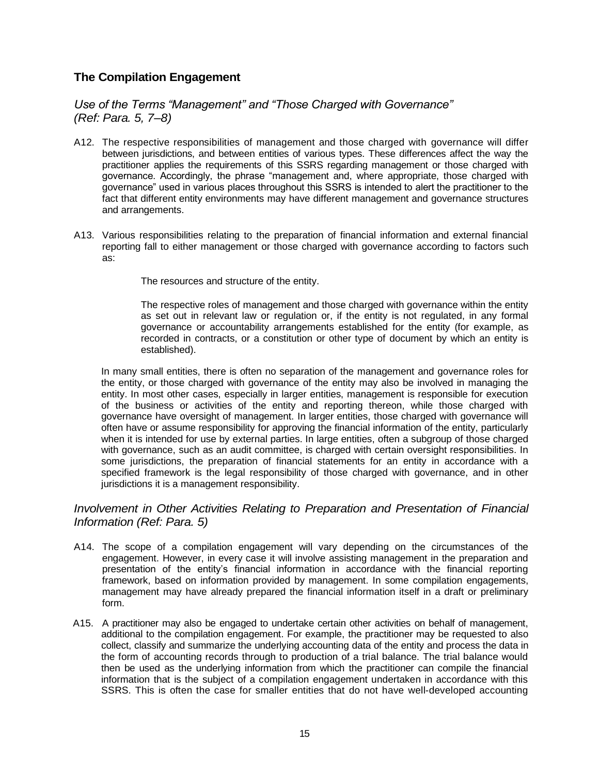### **The Compilation Engagement**

*Use of the Terms "Management" and "Those Charged with Governance" (Ref: Para. 5, 7–8)*

- A12. The respective responsibilities of management and those charged with governance will differ between jurisdictions, and between entities of various types. These differences affect the way the practitioner applies the requirements of this SSRS regarding management or those charged with governance. Accordingly, the phrase "management and, where appropriate, those charged with governance" used in various places throughout this SSRS is intended to alert the practitioner to the fact that different entity environments may have different management and governance structures and arrangements.
- A13. Various responsibilities relating to the preparation of financial information and external financial reporting fall to either management or those charged with governance according to factors such as:

The resources and structure of the entity.

The respective roles of management and those charged with governance within the entity as set out in relevant law or regulation or, if the entity is not regulated, in any formal governance or accountability arrangements established for the entity (for example, as recorded in contracts, or a constitution or other type of document by which an entity is established).

In many small entities, there is often no separation of the management and governance roles for the entity, or those charged with governance of the entity may also be involved in managing the entity. In most other cases, especially in larger entities, management is responsible for execution of the business or activities of the entity and reporting thereon, while those charged with governance have oversight of management. In larger entities, those charged with governance will often have or assume responsibility for approving the financial information of the entity, particularly when it is intended for use by external parties. In large entities, often a subgroup of those charged with governance, such as an audit committee, is charged with certain oversight responsibilities. In some jurisdictions, the preparation of financial statements for an entity in accordance with a specified framework is the legal responsibility of those charged with governance, and in other jurisdictions it is a management responsibility.

*Involvement in Other Activities Relating to Preparation and Presentation of Financial Information (Ref: Para. 5)*

- A14. The scope of a compilation engagement will vary depending on the circumstances of the engagement. However, in every case it will involve assisting management in the preparation and presentation of the entity's financial information in accordance with the financial reporting framework, based on information provided by management. In some compilation engagements, management may have already prepared the financial information itself in a draft or preliminary form.
- A15. A practitioner may also be engaged to undertake certain other activities on behalf of management, additional to the compilation engagement. For example, the practitioner may be requested to also collect, classify and summarize the underlying accounting data of the entity and process the data in the form of accounting records through to production of a trial balance. The trial balance would then be used as the underlying information from which the practitioner can compile the financial information that is the subject of a compilation engagement undertaken in accordance with this SSRS. This is often the case for smaller entities that do not have well-developed accounting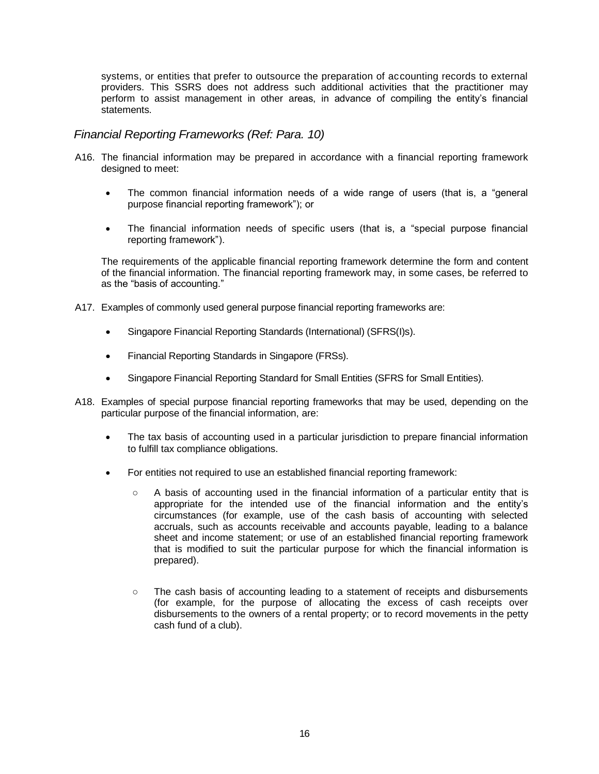systems, or entities that prefer to outsource the preparation of accounting records to external providers. This SSRS does not address such additional activities that the practitioner may perform to assist management in other areas, in advance of compiling the entity's financial statements.

#### *Financial Reporting Frameworks (Ref: Para. 10)*

- A16. The financial information may be prepared in accordance with a financial reporting framework designed to meet:
	- The common financial information needs of a wide range of users (that is, a "general purpose financial reporting framework"); or
	- The financial information needs of specific users (that is, a "special purpose financial reporting framework").

The requirements of the applicable financial reporting framework determine the form and content of the financial information. The financial reporting framework may, in some cases, be referred to as the "basis of accounting."

- A17. Examples of commonly used general purpose financial reporting frameworks are:
	- Singapore Financial Reporting Standards (International) (SFRS(I)s).
	- Financial Reporting Standards in Singapore (FRSs).
	- Singapore Financial Reporting Standard for Small Entities (SFRS for Small Entities).
- A18. Examples of special purpose financial reporting frameworks that may be used, depending on the particular purpose of the financial information, are:
	- The tax basis of accounting used in a particular jurisdiction to prepare financial information to fulfill tax compliance obligations.
	- For entities not required to use an established financial reporting framework:
		- A basis of accounting used in the financial information of a particular entity that is appropriate for the intended use of the financial information and the entity's circumstances (for example, use of the cash basis of accounting with selected accruals, such as accounts receivable and accounts payable, leading to a balance sheet and income statement; or use of an established financial reporting framework that is modified to suit the particular purpose for which the financial information is prepared).
		- The cash basis of accounting leading to a statement of receipts and disbursements (for example, for the purpose of allocating the excess of cash receipts over disbursements to the owners of a rental property; or to record movements in the petty cash fund of a club).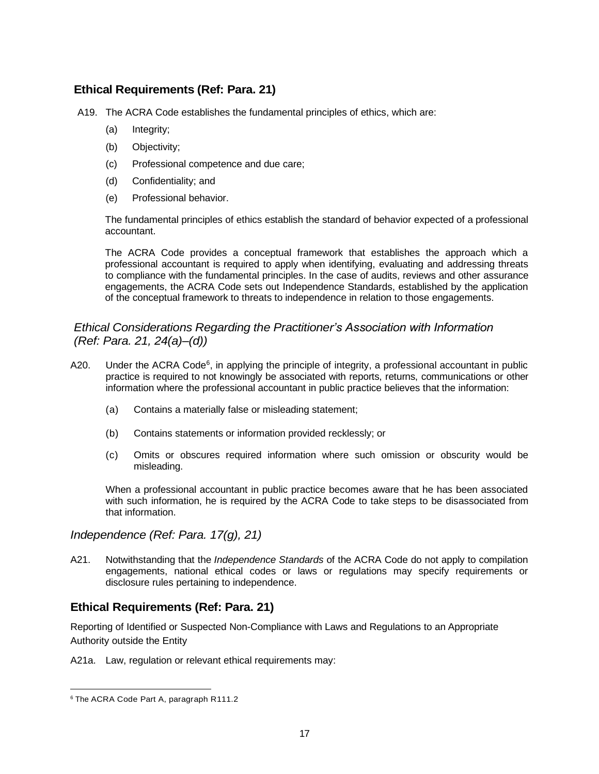### **Ethical Requirements (Ref: Para. 21)**

A19. The ACRA Code establishes the fundamental principles of ethics, which are:

- (a) Integrity;
- (b) Objectivity;
- (c) Professional competence and due care;
- (d) Confidentiality; and
- (e) Professional behavior.

The fundamental principles of ethics establish the standard of behavior expected of a professional accountant.

The ACRA Code provides a conceptual framework that establishes the approach which a professional accountant is required to apply when identifying, evaluating and addressing threats to compliance with the fundamental principles. In the case of audits, reviews and other assurance engagements, the ACRA Code sets out Independence Standards, established by the application of the conceptual framework to threats to independence in relation to those engagements.

#### *Ethical Considerations Regarding the Practitioner's Association with Information (Ref: Para. 21, 24(a)–(d))*

- A20. Under the ACRA Code<sup>6</sup>, in applying the principle of integrity, a professional accountant in public practice is required to not knowingly be associated with reports, returns, communications or other information where the professional accountant in public practice believes that the information:
	- (a) Contains a materially false or misleading statement;
	- (b) Contains statements or information provided recklessly; or
	- (c) Omits or obscures required information where such omission or obscurity would be misleading.

When a professional accountant in public practice becomes aware that he has been associated with such information, he is required by the ACRA Code to take steps to be disassociated from that information.

*Independence (Ref: Para. 17(g), 21)*

A21. Notwithstanding that the *Independence Standards* of the ACRA Code do not apply to compilation engagements, national ethical codes or laws or regulations may specify requirements or disclosure rules pertaining to independence.

### **Ethical Requirements (Ref: Para. 21)**

Reporting of Identified or Suspected Non-Compliance with Laws and Regulations to an Appropriate Authority outside the Entity

A21a. Law, regulation or relevant ethical requirements may:

<sup>6</sup> The ACRA Code Part A, paragraph R111.2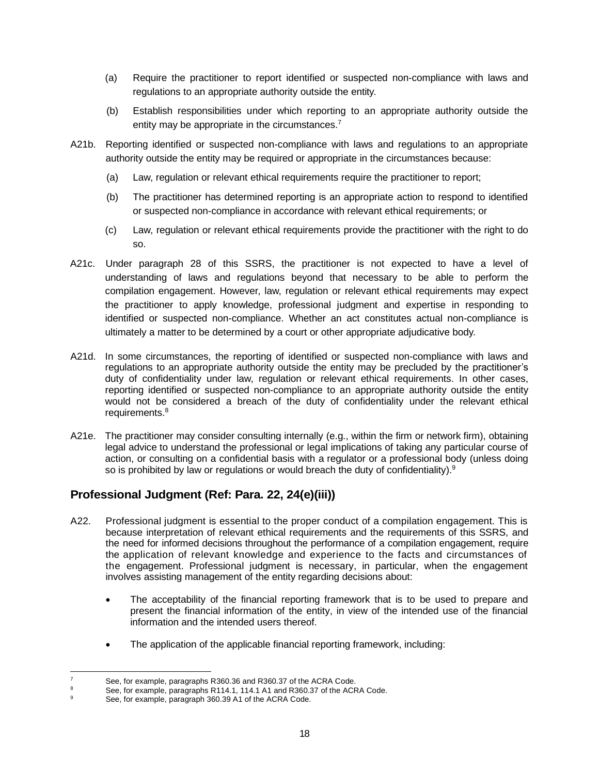- (a) Require the practitioner to report identified or suspected non-compliance with laws and regulations to an appropriate authority outside the entity.
- (b) Establish responsibilities under which reporting to an appropriate authority outside the entity may be appropriate in the circumstances.<sup>7</sup>
- A21b. Reporting identified or suspected non-compliance with laws and regulations to an appropriate authority outside the entity may be required or appropriate in the circumstances because:
	- (a) Law, regulation or relevant ethical requirements require the practitioner to report;
	- (b) The practitioner has determined reporting is an appropriate action to respond to identified or suspected non-compliance in accordance with relevant ethical requirements; or
	- (c) Law, regulation or relevant ethical requirements provide the practitioner with the right to do so.
- A21c. Under paragraph 28 of this SSRS, the practitioner is not expected to have a level of understanding of laws and regulations beyond that necessary to be able to perform the compilation engagement. However, law, regulation or relevant ethical requirements may expect the practitioner to apply knowledge, professional judgment and expertise in responding to identified or suspected non-compliance. Whether an act constitutes actual non-compliance is ultimately a matter to be determined by a court or other appropriate adjudicative body.
- A21d. In some circumstances, the reporting of identified or suspected non-compliance with laws and regulations to an appropriate authority outside the entity may be precluded by the practitioner's duty of confidentiality under law, regulation or relevant ethical requirements. In other cases, reporting identified or suspected non-compliance to an appropriate authority outside the entity would not be considered a breach of the duty of confidentiality under the relevant ethical requirements.<sup>8</sup>
- A21e. The practitioner may consider consulting internally (e.g., within the firm or network firm), obtaining legal advice to understand the professional or legal implications of taking any particular course of action, or consulting on a confidential basis with a regulator or a professional body (unless doing so is prohibited by law or regulations or would breach the duty of confidentiality). $9$

## **Professional Judgment (Ref: Para. 22, 24(e)(iii))**

- A22. Professional judgment is essential to the proper conduct of a compilation engagement. This is because interpretation of relevant ethical requirements and the requirements of this SSRS, and the need for informed decisions throughout the performance of a compilation engagement, require the application of relevant knowledge and experience to the facts and circumstances of the engagement. Professional judgment is necessary, in particular, when the engagement involves assisting management of the entity regarding decisions about:
	- The acceptability of the financial reporting framework that is to be used to prepare and present the financial information of the entity, in view of the intended use of the financial information and the intended users thereof.
	- The application of the applicable financial reporting framework, including:

 $\frac{7}{8}$  See, for example, paragraphs R360.36 and R360.37 of the ACRA Code.

See, for example, paragraphs R114.1, 114.1 A1 and R360.37 of the ACRA Code.

See, for example, paragraph 360.39 A1 of the ACRA Code.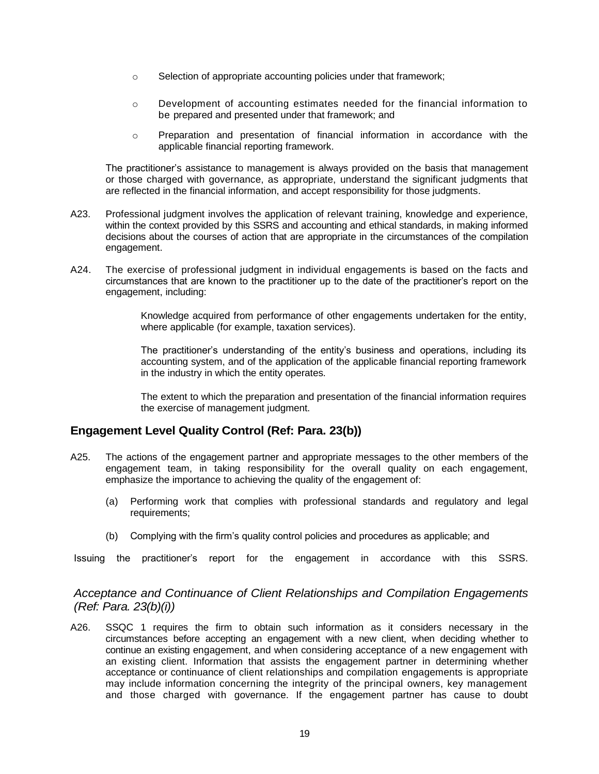- o Selection of appropriate accounting policies under that framework;
- o Development of accounting estimates needed for the financial information to be prepared and presented under that framework; and
- o Preparation and presentation of financial information in accordance with the applicable financial reporting framework.

The practitioner's assistance to management is always provided on the basis that management or those charged with governance, as appropriate, understand the significant judgments that are reflected in the financial information, and accept responsibility for those judgments.

- A23. Professional judgment involves the application of relevant training, knowledge and experience, within the context provided by this SSRS and accounting and ethical standards, in making informed decisions about the courses of action that are appropriate in the circumstances of the compilation engagement.
- A24. The exercise of professional judgment in individual engagements is based on the facts and circumstances that are known to the practitioner up to the date of the practitioner's report on the engagement, including:

Knowledge acquired from performance of other engagements undertaken for the entity, where applicable (for example, taxation services).

The practitioner's understanding of the entity's business and operations, including its accounting system, and of the application of the applicable financial reporting framework in the industry in which the entity operates.

The extent to which the preparation and presentation of the financial information requires the exercise of management judgment.

#### **Engagement Level Quality Control (Ref: Para. 23(b))**

- A25. The actions of the engagement partner and appropriate messages to the other members of the engagement team, in taking responsibility for the overall quality on each engagement, emphasize the importance to achieving the quality of the engagement of:
	- (a) Performing work that complies with professional standards and regulatory and legal requirements;
	- (b) Complying with the firm's quality control policies and procedures as applicable; and

Issuing the practitioner's report for the engagement in accordance with this SSRS.

#### *Acceptance and Continuance of Client Relationships and Compilation Engagements (Ref: Para. 23(b)(i))*

A26. SSQC 1 requires the firm to obtain such information as it considers necessary in the circumstances before accepting an engagement with a new client, when deciding whether to continue an existing engagement, and when considering acceptance of a new engagement with an existing client. Information that assists the engagement partner in determining whether acceptance or continuance of client relationships and compilation engagements is appropriate may include information concerning the integrity of the principal owners, key management and those charged with governance. If the engagement partner has cause to doubt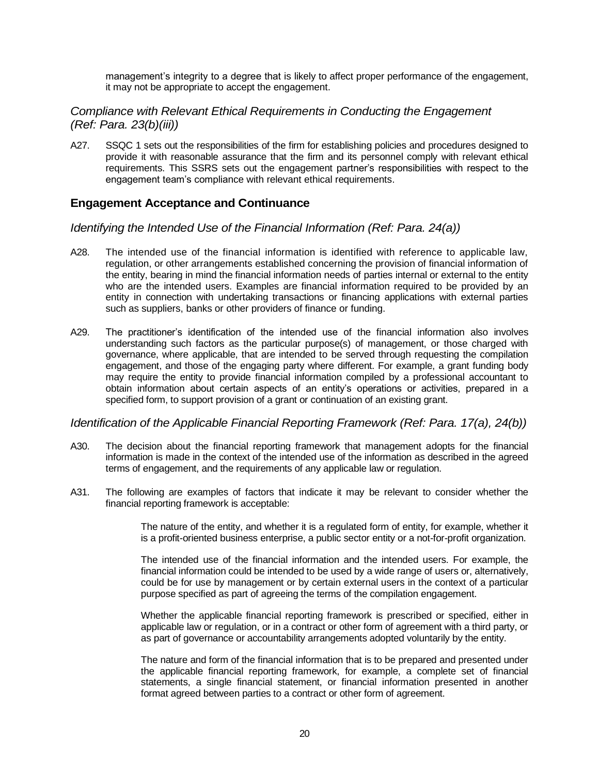management's integrity to a degree that is likely to affect proper performance of the engagement, it may not be appropriate to accept the engagement.

#### *Compliance with Relevant Ethical Requirements in Conducting the Engagement (Ref: Para. 23(b)(iii))*

A27. SSQC 1 sets out the responsibilities of the firm for establishing policies and procedures designed to provide it with reasonable assurance that the firm and its personnel comply with relevant ethical requirements. This SSRS sets out the engagement partner's responsibilities with respect to the engagement team's compliance with relevant ethical requirements.

#### **Engagement Acceptance and Continuance**

#### *Identifying the Intended Use of the Financial Information (Ref: Para. 24(a))*

- A28. The intended use of the financial information is identified with reference to applicable law, regulation, or other arrangements established concerning the provision of financial information of the entity, bearing in mind the financial information needs of parties internal or external to the entity who are the intended users. Examples are financial information required to be provided by an entity in connection with undertaking transactions or financing applications with external parties such as suppliers, banks or other providers of finance or funding.
- A29. The practitioner's identification of the intended use of the financial information also involves understanding such factors as the particular purpose(s) of management, or those charged with governance, where applicable, that are intended to be served through requesting the compilation engagement, and those of the engaging party where different. For example, a grant funding body may require the entity to provide financial information compiled by a professional accountant to obtain information about certain aspects of an entity's operations or activities, prepared in a specified form, to support provision of a grant or continuation of an existing grant.

#### *Identification of the Applicable Financial Reporting Framework (Ref: Para. 17(a), 24(b))*

- A30. The decision about the financial reporting framework that management adopts for the financial information is made in the context of the intended use of the information as described in the agreed terms of engagement, and the requirements of any applicable law or regulation.
- A31. The following are examples of factors that indicate it may be relevant to consider whether the financial reporting framework is acceptable:

The nature of the entity, and whether it is a regulated form of entity, for example, whether it is a profit-oriented business enterprise, a public sector entity or a not-for-profit organization.

The intended use of the financial information and the intended users. For example, the financial information could be intended to be used by a wide range of users or, alternatively, could be for use by management or by certain external users in the context of a particular purpose specified as part of agreeing the terms of the compilation engagement.

Whether the applicable financial reporting framework is prescribed or specified, either in applicable law or regulation, or in a contract or other form of agreement with a third party, or as part of governance or accountability arrangements adopted voluntarily by the entity.

The nature and form of the financial information that is to be prepared and presented under the applicable financial reporting framework, for example, a complete set of financial statements, a single financial statement, or financial information presented in another format agreed between parties to a contract or other form of agreement.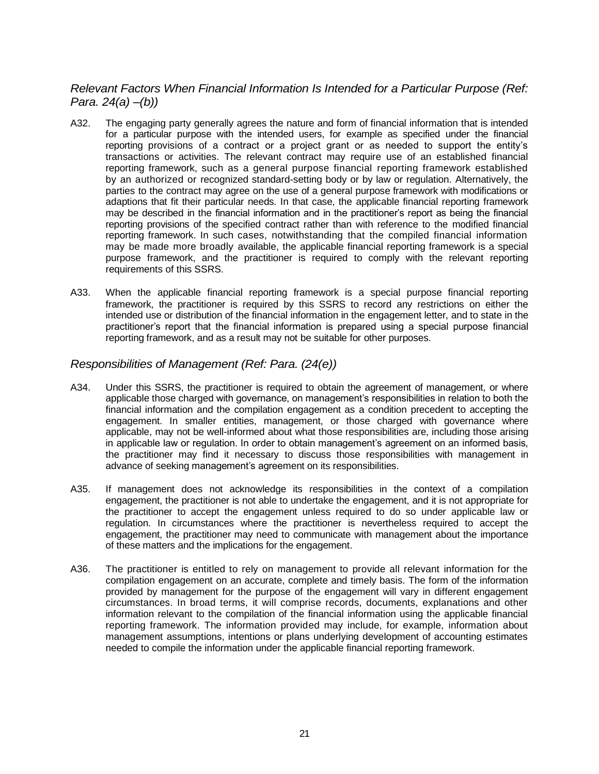## *Relevant Factors When Financial Information Is Intended for a Particular Purpose (Ref: Para. 24(a) –(b))*

- A32. The engaging party generally agrees the nature and form of financial information that is intended for a particular purpose with the intended users, for example as specified under the financial reporting provisions of a contract or a project grant or as needed to support the entity's transactions or activities. The relevant contract may require use of an established financial reporting framework, such as a general purpose financial reporting framework established by an authorized or recognized standard-setting body or by law or regulation. Alternatively, the parties to the contract may agree on the use of a general purpose framework with modifications or adaptions that fit their particular needs. In that case, the applicable financial reporting framework may be described in the financial information and in the practitioner's report as being the financial reporting provisions of the specified contract rather than with reference to the modified financial reporting framework. In such cases, notwithstanding that the compiled financial information may be made more broadly available, the applicable financial reporting framework is a special purpose framework, and the practitioner is required to comply with the relevant reporting requirements of this SSRS.
- A33. When the applicable financial reporting framework is a special purpose financial reporting framework, the practitioner is required by this SSRS to record any restrictions on either the intended use or distribution of the financial information in the engagement letter, and to state in the practitioner's report that the financial information is prepared using a special purpose financial reporting framework, and as a result may not be suitable for other purposes.

#### *Responsibilities of Management (Ref: Para. (24(e))*

- A34. Under this SSRS, the practitioner is required to obtain the agreement of management, or where applicable those charged with governance, on management's responsibilities in relation to both the financial information and the compilation engagement as a condition precedent to accepting the engagement. In smaller entities, management, or those charged with governance where applicable, may not be well-informed about what those responsibilities are, including those arising in applicable law or regulation. In order to obtain management's agreement on an informed basis, the practitioner may find it necessary to discuss those responsibilities with management in advance of seeking management's agreement on its responsibilities.
- A35. If management does not acknowledge its responsibilities in the context of a compilation engagement, the practitioner is not able to undertake the engagement, and it is not appropriate for the practitioner to accept the engagement unless required to do so under applicable law or regulation. In circumstances where the practitioner is nevertheless required to accept the engagement, the practitioner may need to communicate with management about the importance of these matters and the implications for the engagement.
- A36. The practitioner is entitled to rely on management to provide all relevant information for the compilation engagement on an accurate, complete and timely basis. The form of the information provided by management for the purpose of the engagement will vary in different engagement circumstances. In broad terms, it will comprise records, documents, explanations and other information relevant to the compilation of the financial information using the applicable financial reporting framework. The information provided may include, for example, information about management assumptions, intentions or plans underlying development of accounting estimates needed to compile the information under the applicable financial reporting framework.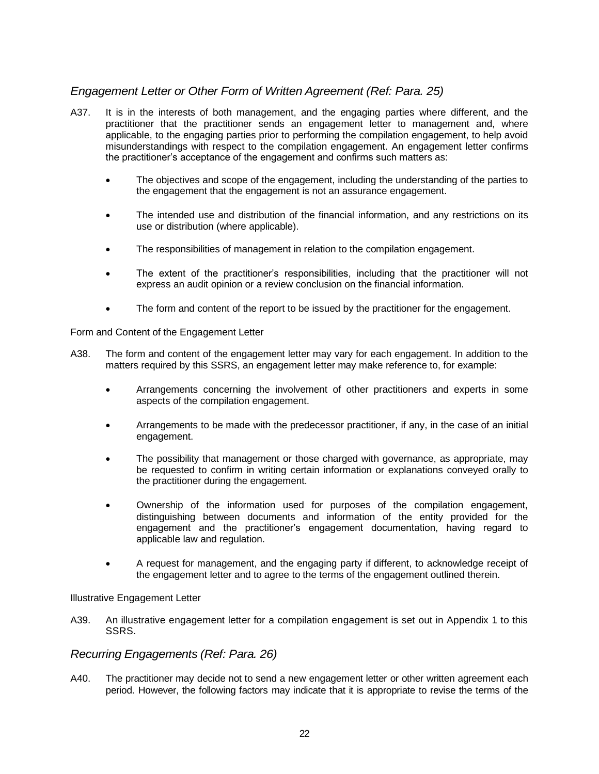## *Engagement Letter or Other Form of Written Agreement (Ref: Para. 25)*

- A37. It is in the interests of both management, and the engaging parties where different, and the practitioner that the practitioner sends an engagement letter to management and, where applicable, to the engaging parties prior to performing the compilation engagement, to help avoid misunderstandings with respect to the compilation engagement. An engagement letter confirms the practitioner's acceptance of the engagement and confirms such matters as:
	- The objectives and scope of the engagement, including the understanding of the parties to the engagement that the engagement is not an assurance engagement.
	- The intended use and distribution of the financial information, and any restrictions on its use or distribution (where applicable).
	- The responsibilities of management in relation to the compilation engagement.
	- The extent of the practitioner's responsibilities, including that the practitioner will not express an audit opinion or a review conclusion on the financial information.
	- The form and content of the report to be issued by the practitioner for the engagement.

Form and Content of the Engagement Letter

- A38. The form and content of the engagement letter may vary for each engagement. In addition to the matters required by this SSRS, an engagement letter may make reference to, for example:
	- Arrangements concerning the involvement of other practitioners and experts in some aspects of the compilation engagement.
	- Arrangements to be made with the predecessor practitioner, if any, in the case of an initial engagement.
	- The possibility that management or those charged with governance, as appropriate, may be requested to confirm in writing certain information or explanations conveyed orally to the practitioner during the engagement.
	- Ownership of the information used for purposes of the compilation engagement, distinguishing between documents and information of the entity provided for the engagement and the practitioner's engagement documentation, having regard to applicable law and regulation.
	- A request for management, and the engaging party if different, to acknowledge receipt of the engagement letter and to agree to the terms of the engagement outlined therein.

Illustrative Engagement Letter

A39. An illustrative engagement letter for a compilation engagement is set out in Appendix 1 to this SSRS.

#### *Recurring Engagements (Ref: Para. 26)*

A40. The practitioner may decide not to send a new engagement letter or other written agreement each period. However, the following factors may indicate that it is appropriate to revise the terms of the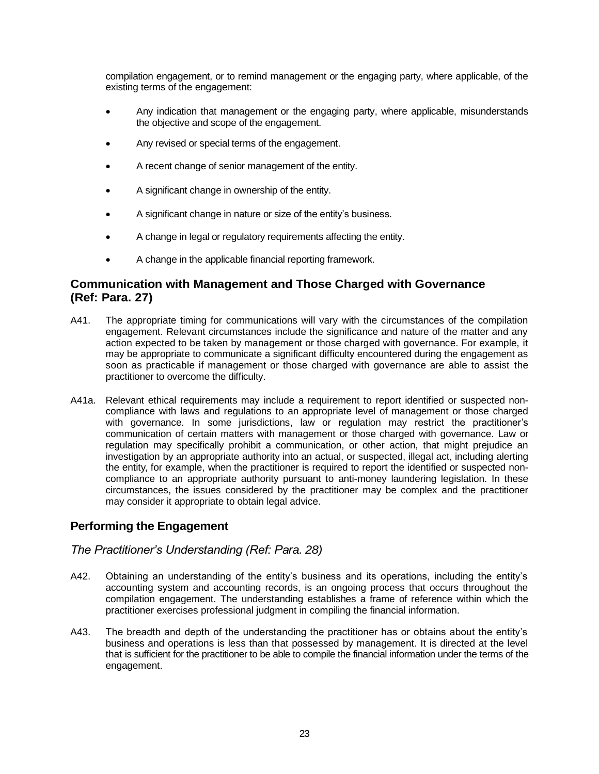compilation engagement, or to remind management or the engaging party, where applicable, of the existing terms of the engagement:

- Any indication that management or the engaging party, where applicable, misunderstands the objective and scope of the engagement.
- Any revised or special terms of the engagement.
- A recent change of senior management of the entity.
- A significant change in ownership of the entity.
- A significant change in nature or size of the entity's business.
- A change in legal or regulatory requirements affecting the entity.
- A change in the applicable financial reporting framework.

### **Communication with Management and Those Charged with Governance (Ref: Para. 27)**

- A41. The appropriate timing for communications will vary with the circumstances of the compilation engagement. Relevant circumstances include the significance and nature of the matter and any action expected to be taken by management or those charged with governance. For example, it may be appropriate to communicate a significant difficulty encountered during the engagement as soon as practicable if management or those charged with governance are able to assist the practitioner to overcome the difficulty.
- A41a. Relevant ethical requirements may include a requirement to report identified or suspected noncompliance with laws and regulations to an appropriate level of management or those charged with governance. In some jurisdictions, law or regulation may restrict the practitioner's communication of certain matters with management or those charged with governance. Law or regulation may specifically prohibit a communication, or other action, that might prejudice an investigation by an appropriate authority into an actual, or suspected, illegal act, including alerting the entity, for example, when the practitioner is required to report the identified or suspected noncompliance to an appropriate authority pursuant to anti-money laundering legislation. In these circumstances, the issues considered by the practitioner may be complex and the practitioner may consider it appropriate to obtain legal advice.

## **Performing the Engagement**

#### *The Practitioner's Understanding (Ref: Para. 28)*

- A42. Obtaining an understanding of the entity's business and its operations, including the entity's accounting system and accounting records, is an ongoing process that occurs throughout the compilation engagement. The understanding establishes a frame of reference within which the practitioner exercises professional judgment in compiling the financial information.
- A43. The breadth and depth of the understanding the practitioner has or obtains about the entity's business and operations is less than that possessed by management. It is directed at the level that is sufficient for the practitioner to be able to compile the financial information under the terms of the engagement.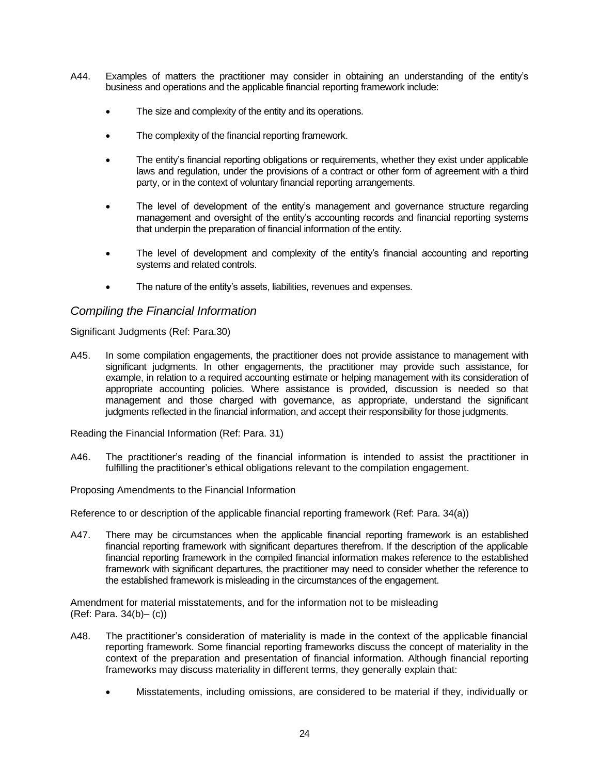- A44. Examples of matters the practitioner may consider in obtaining an understanding of the entity's business and operations and the applicable financial reporting framework include:
	- The size and complexity of the entity and its operations.
	- The complexity of the financial reporting framework.
	- The entity's financial reporting obligations or requirements, whether they exist under applicable laws and regulation, under the provisions of a contract or other form of agreement with a third party, or in the context of voluntary financial reporting arrangements.
	- The level of development of the entity's management and governance structure regarding management and oversight of the entity's accounting records and financial reporting systems that underpin the preparation of financial information of the entity.
	- The level of development and complexity of the entity's financial accounting and reporting systems and related controls.
	- The nature of the entity's assets, liabilities, revenues and expenses.

#### *Compiling the Financial Information*

Significant Judgments (Ref: Para.30)

A45. In some compilation engagements, the practitioner does not provide assistance to management with significant judgments. In other engagements, the practitioner may provide such assistance, for example, in relation to a required accounting estimate or helping management with its consideration of appropriate accounting policies. Where assistance is provided, discussion is needed so that management and those charged with governance, as appropriate, understand the significant judgments reflected in the financial information, and accept their responsibility for those judgments.

Reading the Financial Information (Ref: Para. 31)

A46. The practitioner's reading of the financial information is intended to assist the practitioner in fulfilling the practitioner's ethical obligations relevant to the compilation engagement.

Proposing Amendments to the Financial Information

Reference to or description of the applicable financial reporting framework (Ref: Para. 34(a))

A47. There may be circumstances when the applicable financial reporting framework is an established financial reporting framework with significant departures therefrom. If the description of the applicable financial reporting framework in the compiled financial information makes reference to the established framework with significant departures, the practitioner may need to consider whether the reference to the established framework is misleading in the circumstances of the engagement.

Amendment for material misstatements, and for the information not to be misleading (Ref: Para. 34(b)– (c))

- A48. The practitioner's consideration of materiality is made in the context of the applicable financial reporting framework. Some financial reporting frameworks discuss the concept of materiality in the context of the preparation and presentation of financial information. Although financial reporting frameworks may discuss materiality in different terms, they generally explain that:
	- Misstatements, including omissions, are considered to be material if they, individually or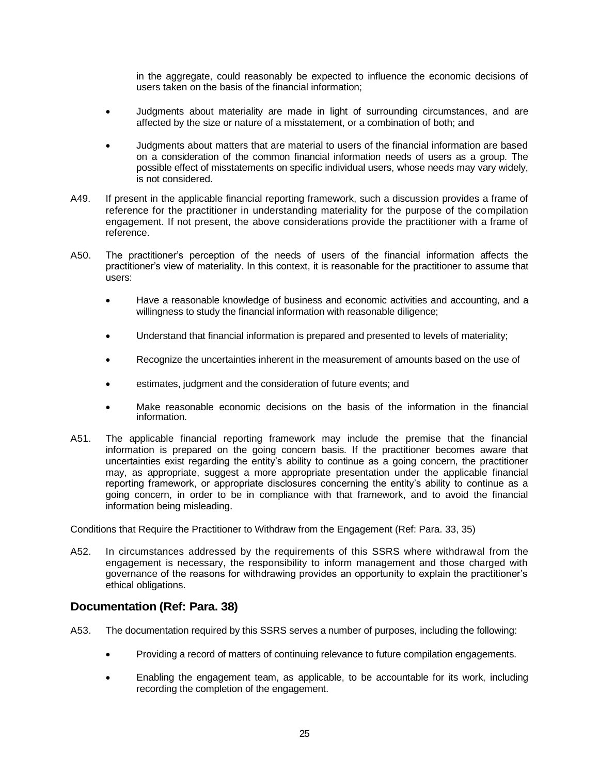in the aggregate, could reasonably be expected to influence the economic decisions of users taken on the basis of the financial information;

- Judgments about materiality are made in light of surrounding circumstances, and are affected by the size or nature of a misstatement, or a combination of both; and
- Judgments about matters that are material to users of the financial information are based on a consideration of the common financial information needs of users as a group. The possible effect of misstatements on specific individual users, whose needs may vary widely, is not considered.
- A49. If present in the applicable financial reporting framework, such a discussion provides a frame of reference for the practitioner in understanding materiality for the purpose of the compilation engagement. If not present, the above considerations provide the practitioner with a frame of reference.
- A50. The practitioner's perception of the needs of users of the financial information affects the practitioner's view of materiality. In this context, it is reasonable for the practitioner to assume that users:
	- Have a reasonable knowledge of business and economic activities and accounting, and a willingness to study the financial information with reasonable diligence;
	- Understand that financial information is prepared and presented to levels of materiality;
	- Recognize the uncertainties inherent in the measurement of amounts based on the use of
	- estimates, judgment and the consideration of future events; and
	- Make reasonable economic decisions on the basis of the information in the financial information.
- A51. The applicable financial reporting framework may include the premise that the financial information is prepared on the going concern basis. If the practitioner becomes aware that uncertainties exist regarding the entity's ability to continue as a going concern, the practitioner may, as appropriate, suggest a more appropriate presentation under the applicable financial reporting framework, or appropriate disclosures concerning the entity's ability to continue as a going concern, in order to be in compliance with that framework, and to avoid the financial information being misleading.

Conditions that Require the Practitioner to Withdraw from the Engagement (Ref: Para. 33, 35)

A52. In circumstances addressed by the requirements of this SSRS where withdrawal from the engagement is necessary, the responsibility to inform management and those charged with governance of the reasons for withdrawing provides an opportunity to explain the practitioner's ethical obligations.

#### **Documentation (Ref: Para. 38)**

- A53. The documentation required by this SSRS serves a number of purposes, including the following:
	- Providing a record of matters of continuing relevance to future compilation engagements.
	- Enabling the engagement team, as applicable, to be accountable for its work, including recording the completion of the engagement.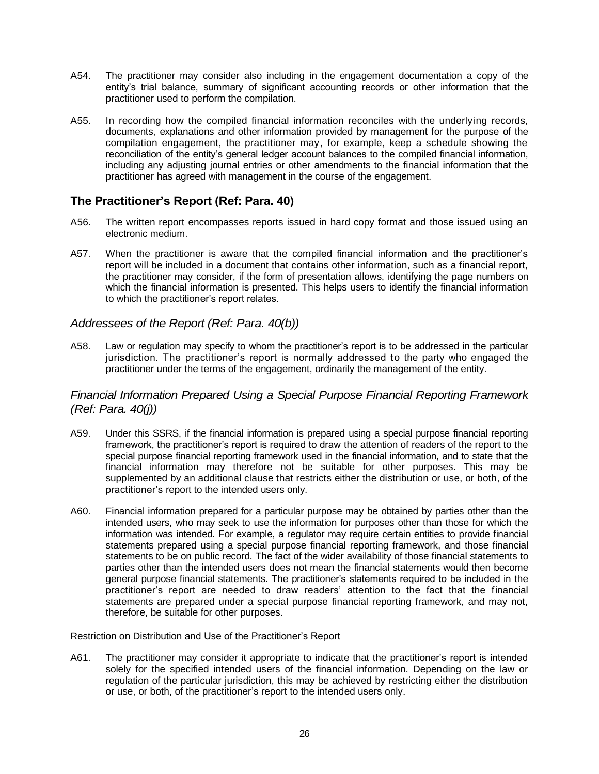- A54. The practitioner may consider also including in the engagement documentation a copy of the entity's trial balance, summary of significant accounting records or other information that the practitioner used to perform the compilation.
- A55. In recording how the compiled financial information reconciles with the underlying records, documents, explanations and other information provided by management for the purpose of the compilation engagement, the practitioner may, for example, keep a schedule showing the reconciliation of the entity's general ledger account balances to the compiled financial information, including any adjusting journal entries or other amendments to the financial information that the practitioner has agreed with management in the course of the engagement.

### **The Practitioner's Report (Ref: Para. 40)**

- A56. The written report encompasses reports issued in hard copy format and those issued using an electronic medium.
- A57. When the practitioner is aware that the compiled financial information and the practitioner's report will be included in a document that contains other information, such as a financial report, the practitioner may consider, if the form of presentation allows, identifying the page numbers on which the financial information is presented. This helps users to identify the financial information to which the practitioner's report relates.

#### *Addressees of the Report (Ref: Para. 40(b))*

A58. Law or regulation may specify to whom the practitioner's report is to be addressed in the particular jurisdiction. The practitioner's report is normally addressed to the party who engaged the practitioner under the terms of the engagement, ordinarily the management of the entity.

#### *Financial Information Prepared Using a Special Purpose Financial Reporting Framework (Ref: Para. 40(j))*

- A59. Under this SSRS, if the financial information is prepared using a special purpose financial reporting framework, the practitioner's report is required to draw the attention of readers of the report to the special purpose financial reporting framework used in the financial information, and to state that the financial information may therefore not be suitable for other purposes. This may be supplemented by an additional clause that restricts either the distribution or use, or both, of the practitioner's report to the intended users only.
- A60. Financial information prepared for a particular purpose may be obtained by parties other than the intended users, who may seek to use the information for purposes other than those for which the information was intended. For example, a regulator may require certain entities to provide financial statements prepared using a special purpose financial reporting framework, and those financial statements to be on public record. The fact of the wider availability of those financial statements to parties other than the intended users does not mean the financial statements would then become general purpose financial statements. The practitioner's statements required to be included in the practitioner's report are needed to draw readers' attention to the fact that the financial statements are prepared under a special purpose financial reporting framework, and may not, therefore, be suitable for other purposes.

Restriction on Distribution and Use of the Practitioner's Report

A61. The practitioner may consider it appropriate to indicate that the practitioner's report is intended solely for the specified intended users of the financial information. Depending on the law or regulation of the particular jurisdiction, this may be achieved by restricting either the distribution or use, or both, of the practitioner's report to the intended users only.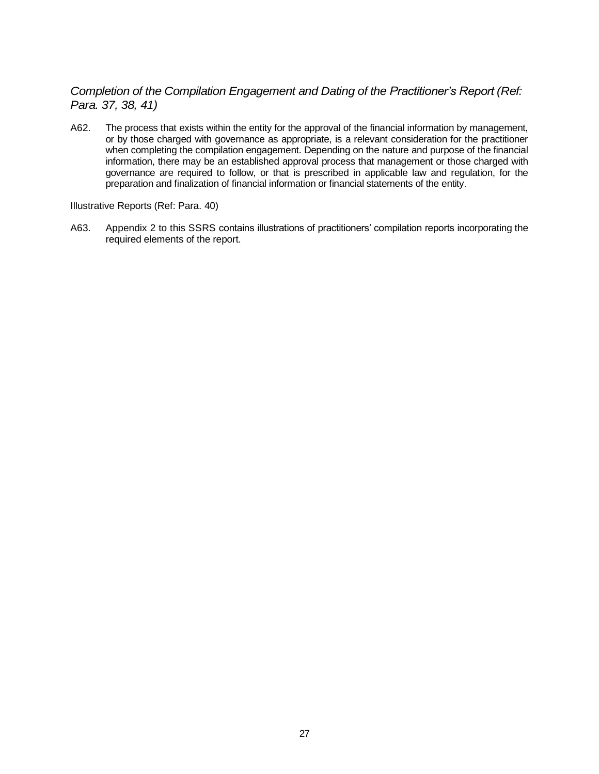## *Completion of the Compilation Engagement and Dating of the Practitioner's Report (Ref: Para. 37, 38, 41)*

A62. The process that exists within the entity for the approval of the financial information by management, or by those charged with governance as appropriate, is a relevant consideration for the practitioner when completing the compilation engagement. Depending on the nature and purpose of the financial information, there may be an established approval process that management or those charged with governance are required to follow, or that is prescribed in applicable law and regulation, for the preparation and finalization of financial information or financial statements of the entity.

Illustrative Reports (Ref: Para. 40)

A63. Appendix 2 to this SSRS contains illustrations of practitioners' compilation reports incorporating the required elements of the report.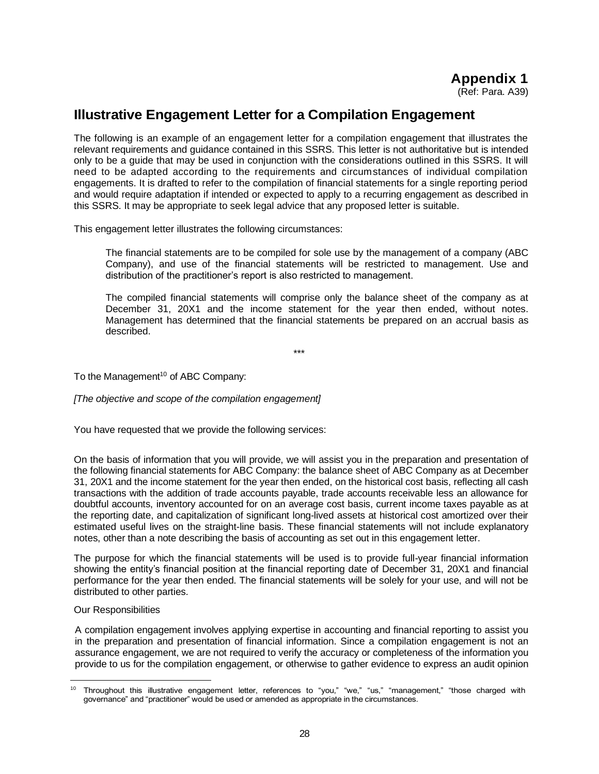# **Illustrative Engagement Letter for a Compilation Engagement**

The following is an example of an engagement letter for a compilation engagement that illustrates the relevant requirements and guidance contained in this SSRS. This letter is not authoritative but is intended only to be a guide that may be used in conjunction with the considerations outlined in this SSRS. It will need to be adapted according to the requirements and circumstances of individual compilation engagements. It is drafted to refer to the compilation of financial statements for a single reporting period and would require adaptation if intended or expected to apply to a recurring engagement as described in this SSRS. It may be appropriate to seek legal advice that any proposed letter is suitable.

This engagement letter illustrates the following circumstances:

The financial statements are to be compiled for sole use by the management of a company (ABC Company), and use of the financial statements will be restricted to management. Use and distribution of the practitioner's report is also restricted to management.

The compiled financial statements will comprise only the balance sheet of the company as at December 31, 20X1 and the income statement for the year then ended, without notes. Management has determined that the financial statements be prepared on an accrual basis as described.

\*\*\*

To the Management<sup>10</sup> of ABC Company:

*[The objective and scope of the compilation engagement]* 

You have requested that we provide the following services:

On the basis of information that you will provide, we will assist you in the preparation and presentation of the following financial statements for ABC Company: the balance sheet of ABC Company as at December 31, 20X1 and the income statement for the year then ended, on the historical cost basis, reflecting all cash transactions with the addition of trade accounts payable, trade accounts receivable less an allowance for doubtful accounts, inventory accounted for on an average cost basis, current income taxes payable as at the reporting date, and capitalization of significant long-lived assets at historical cost amortized over their estimated useful lives on the straight-line basis. These financial statements will not include explanatory notes, other than a note describing the basis of accounting as set out in this engagement letter.

The purpose for which the financial statements will be used is to provide full-year financial information showing the entity's financial position at the financial reporting date of December 31, 20X1 and financial performance for the year then ended. The financial statements will be solely for your use, and will not be distributed to other parties.

#### Our Responsibilities

A compilation engagement involves applying expertise in accounting and financial reporting to assist you in the preparation and presentation of financial information. Since a compilation engagement is not an assurance engagement, we are not required to verify the accuracy or completeness of the information you provide to us for the compilation engagement, or otherwise to gather evidence to express an audit opinion

<sup>&</sup>lt;sup>10</sup> Throughout this illustrative engagement letter, references to "you," "we," "us," "management," "those charged with governance" and "practitioner" would be used or amended as appropriate in the circumstances.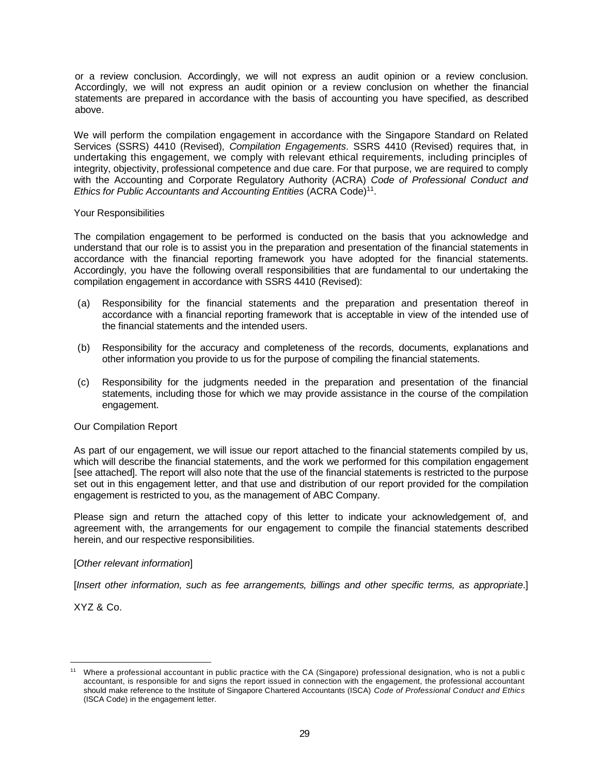or a review conclusion. Accordingly, we will not express an audit opinion or a review conclusion. Accordingly, we will not express an audit opinion or a review conclusion on whether the financial statements are prepared in accordance with the basis of accounting you have specified, as described above.

We will perform the compilation engagement in accordance with the Singapore Standard on Related Services (SSRS) 4410 (Revised), *Compilation Engagements*. SSRS 4410 (Revised) requires that, in undertaking this engagement, we comply with relevant ethical requirements, including principles of integrity, objectivity, professional competence and due care. For that purpose, we are required to comply with the Accounting and Corporate Regulatory Authority (ACRA) *Code of Professional Conduct and*  Ethics for Public Accountants and Accounting Entities (ACRA Code)<sup>11</sup>.

#### Your Responsibilities

The compilation engagement to be performed is conducted on the basis that you acknowledge and understand that our role is to assist you in the preparation and presentation of the financial statements in accordance with the financial reporting framework you have adopted for the financial statements. Accordingly, you have the following overall responsibilities that are fundamental to our undertaking the compilation engagement in accordance with SSRS 4410 (Revised):

- (a) Responsibility for the financial statements and the preparation and presentation thereof in accordance with a financial reporting framework that is acceptable in view of the intended use of the financial statements and the intended users.
- (b) Responsibility for the accuracy and completeness of the records, documents, explanations and other information you provide to us for the purpose of compiling the financial statements.
- (c) Responsibility for the judgments needed in the preparation and presentation of the financial statements, including those for which we may provide assistance in the course of the compilation engagement.

#### Our Compilation Report

As part of our engagement, we will issue our report attached to the financial statements compiled by us, which will describe the financial statements, and the work we performed for this compilation engagement [see attached]. The report will also note that the use of the financial statements is restricted to the purpose set out in this engagement letter, and that use and distribution of our report provided for the compilation engagement is restricted to you, as the management of ABC Company.

Please sign and return the attached copy of this letter to indicate your acknowledgement of, and agreement with, the arrangements for our engagement to compile the financial statements described herein, and our respective responsibilities.

#### [*Other relevant information*]

[*Insert other information, such as fee arrangements, billings and other specific terms, as appropriate*.]

XYZ & Co.

Where a professional accountant in public practice with the CA (Singapore) professional designation, who is not a public accountant, is responsible for and signs the report issued in connection with the engagement, the professional accountant should make reference to the Institute of Singapore Chartered Accountants (ISCA) *Code of Professional Conduct and Ethics* (ISCA Code) in the engagement letter.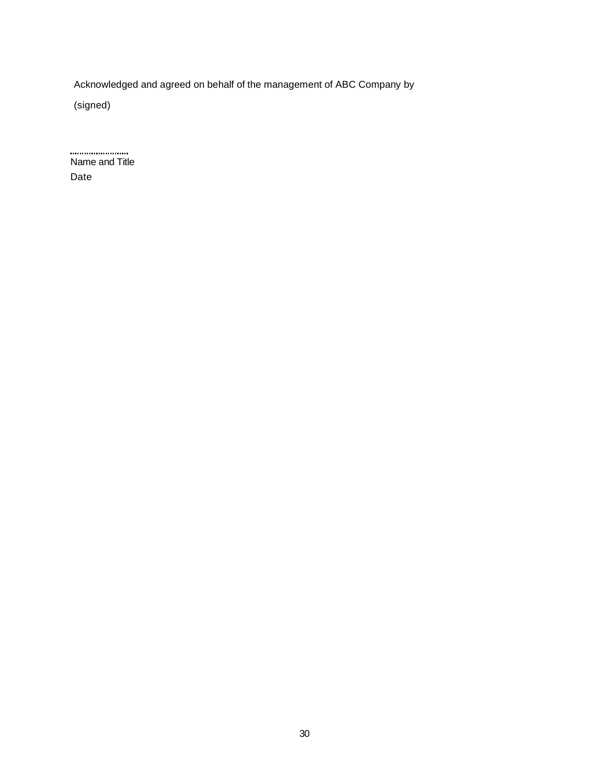Acknowledged and agreed on behalf of the management of ABC Company by

(signed)

....................... Name and Title Date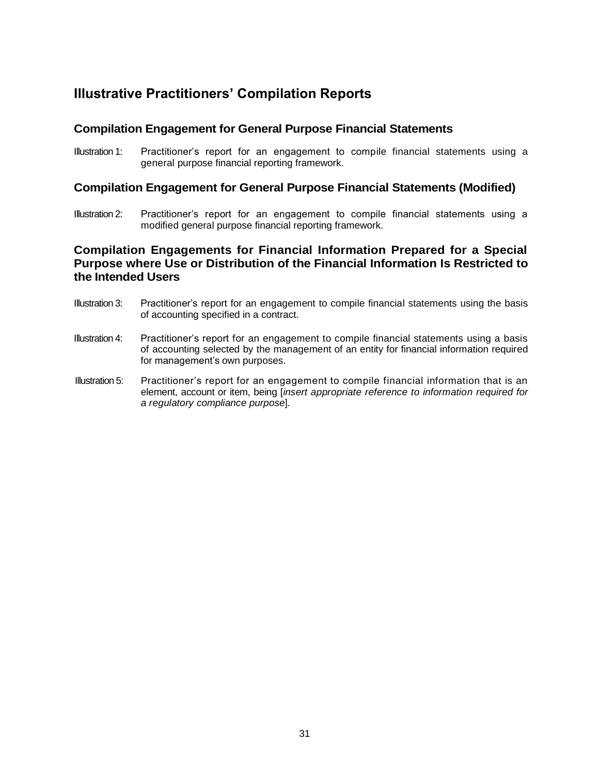# **Illustrative Practitioners' Compilation Reports**

#### **Compilation Engagement for General Purpose Financial Statements**

Illustration 1: Practitioner's report for an engagement to compile financial statements using a general purpose financial reporting framework.

#### **Compilation Engagement for General Purpose Financial Statements (Modified)**

Illustration 2: Practitioner's report for an engagement to compile financial statements using a modified general purpose financial reporting framework.

#### **Compilation Engagements for Financial Information Prepared for a Special Purpose where Use or Distribution of the Financial Information Is Restricted to the Intended Users**

- Illustration 3: Practitioner's report for an engagement to compile financial statements using the basis of accounting specified in a contract.
- Illustration 4: Practitioner's report for an engagement to compile financial statements using a basis of accounting selected by the management of an entity for financial information required for management's own purposes.
- Illustration 5: Practitioner's report for an engagement to compile financial information that is an element, account or item, being [*insert appropriate reference to information required for a regulatory compliance purpose*].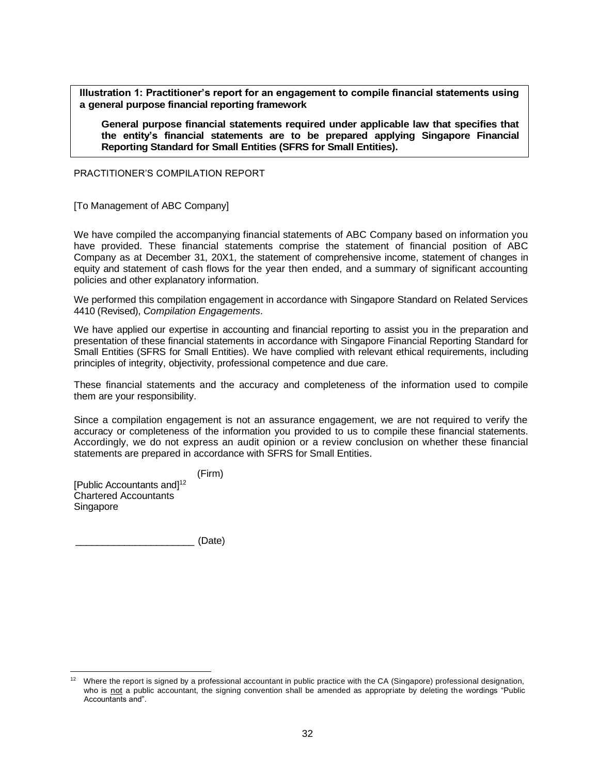**Illustration 1: Practitioner's report for an engagement to compile financial statements using a general purpose financial reporting framework**

**General purpose financial statements required under applicable law that specifies that the entity's financial statements are to be prepared applying Singapore Financial Reporting Standard for Small Entities (SFRS for Small Entities).**

PRACTITIONER'S COMPILATION REPORT

[To Management of ABC Company]

We have compiled the accompanying financial statements of ABC Company based on information you have provided. These financial statements comprise the statement of financial position of ABC Company as at December 31, 20X1, the statement of comprehensive income, statement of changes in equity and statement of cash flows for the year then ended, and a summary of significant accounting policies and other explanatory information.

We performed this compilation engagement in accordance with Singapore Standard on Related Services 4410 (Revised), *Compilation Engagements*.

We have applied our expertise in accounting and financial reporting to assist you in the preparation and presentation of these financial statements in accordance with Singapore Financial Reporting Standard for Small Entities (SFRS for Small Entities). We have complied with relevant ethical requirements, including principles of integrity, objectivity, professional competence and due care.

These financial statements and the accuracy and completeness of the information used to compile them are your responsibility.

Since a compilation engagement is not an assurance engagement, we are not required to verify the accuracy or completeness of the information you provided to us to compile these financial statements. Accordingly, we do not express an audit opinion or a review conclusion on whether these financial statements are prepared in accordance with SFRS for Small Entities.

(Firm) [Public Accountants and]<sup>12</sup> Chartered Accountants Singapore

\_\_\_\_\_\_\_\_\_\_\_\_\_\_\_\_\_\_\_\_\_\_ (Date)

<sup>12</sup> Where the report is signed by a professional accountant in public practice with the CA (Singapore) professional designation, who is not a public accountant, the signing convention shall be amended as appropriate by deleting the wordings "Public Accountants and".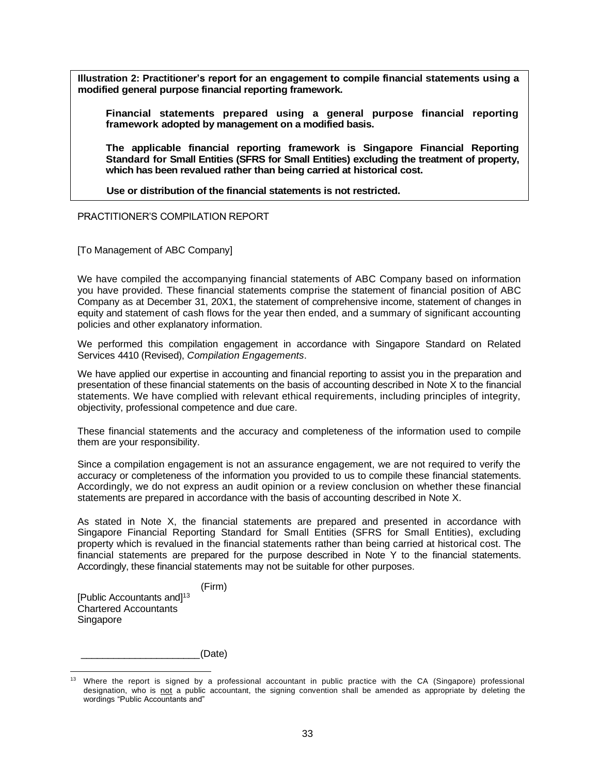**Illustration 2: Practitioner's report for an engagement to compile financial statements using a modified general purpose financial reporting framework.**

**Financial statements prepared using a general purpose financial reporting framework adopted by management on a modified basis.**

**The applicable financial reporting framework is Singapore Financial Reporting Standard for Small Entities (SFRS for Small Entities) excluding the treatment of property, which has been revalued rather than being carried at historical cost.**

.**Use or distribution of the financial statements is not restricted.**

PRACTITIONER'S COMPILATION REPORT

[To Management of ABC Company]

We have compiled the accompanying financial statements of ABC Company based on information you have provided. These financial statements comprise the statement of financial position of ABC Company as at December 31, 20X1, the statement of comprehensive income, statement of changes in equity and statement of cash flows for the year then ended, and a summary of significant accounting policies and other explanatory information.

We performed this compilation engagement in accordance with Singapore Standard on Related Services 4410 (Revised), *Compilation Engagements*.

We have applied our expertise in accounting and financial reporting to assist you in the preparation and presentation of these financial statements on the basis of accounting described in Note X to the financial statements. We have complied with relevant ethical requirements, including principles of integrity, objectivity, professional competence and due care.

These financial statements and the accuracy and completeness of the information used to compile them are your responsibility.

Since a compilation engagement is not an assurance engagement, we are not required to verify the accuracy or completeness of the information you provided to us to compile these financial statements. Accordingly, we do not express an audit opinion or a review conclusion on whether these financial statements are prepared in accordance with the basis of accounting described in Note X.

As stated in Note X, the financial statements are prepared and presented in accordance with Singapore Financial Reporting Standard for Small Entities (SFRS for Small Entities), excluding property which is revalued in the financial statements rather than being carried at historical cost. The financial statements are prepared for the purpose described in Note Y to the financial statements. Accordingly, these financial statements may not be suitable for other purposes.

(Firm) [Public Accountants and]<sup>13</sup> Chartered Accountants Singapore

\_\_\_\_\_\_\_\_\_\_\_\_\_\_\_\_\_\_\_\_\_\_(Date)

<sup>13</sup> Where the report is signed by a professional accountant in public practice with the CA (Singapore) professional designation, who is not a public accountant, the signing convention shall be amended as appropriate by deleting the wordings "Public Accountants and"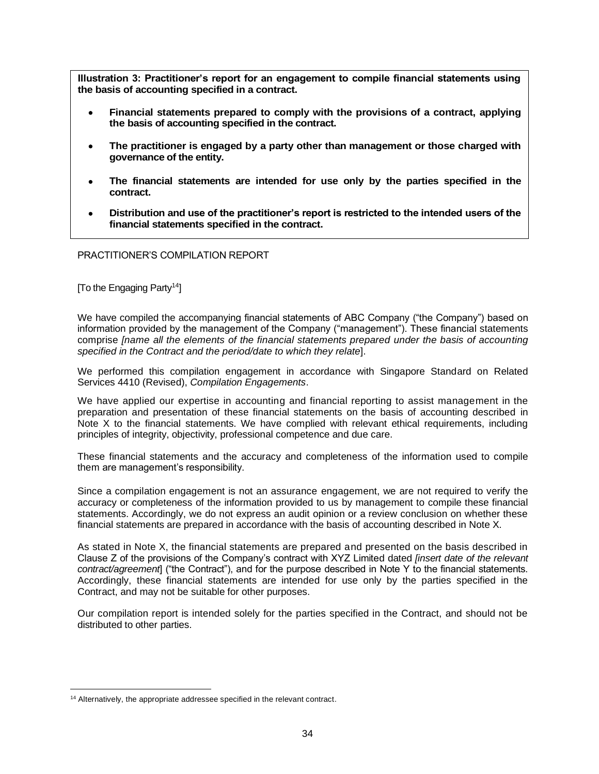**Illustration 3: Practitioner's report for an engagement to compile financial statements using the basis of accounting specified in a contract.**

- **Financial statements prepared to comply with the provisions of a contract, applying the basis of accounting specified in the contract.**
- **The practitioner is engaged by a party other than management or those charged with governance of the entity.**
- **The financial statements are intended for use only by the parties specified in the contract.**
- **Distribution and use of the practitioner's report is restricted to the intended users of the financial statements specified in the contract.**

PRACTITIONER'S COMPILATION REPORT

[To the Engaging Party<sup>14</sup>]

We have compiled the accompanying financial statements of ABC Company ("the Company") based on information provided by the management of the Company ("management"). These financial statements comprise *[name all the elements of the financial statements prepared under the basis of accounting specified in the Contract and the period/date to which they relate*].

We performed this compilation engagement in accordance with Singapore Standard on Related Services 4410 (Revised), *Compilation Engagements*.

We have applied our expertise in accounting and financial reporting to assist management in the preparation and presentation of these financial statements on the basis of accounting described in Note X to the financial statements. We have complied with relevant ethical requirements, including principles of integrity, objectivity, professional competence and due care.

These financial statements and the accuracy and completeness of the information used to compile them are management's responsibility.

Since a compilation engagement is not an assurance engagement, we are not required to verify the accuracy or completeness of the information provided to us by management to compile these financial statements. Accordingly, we do not express an audit opinion or a review conclusion on whether these financial statements are prepared in accordance with the basis of accounting described in Note X.

As stated in Note X, the financial statements are prepared and presented on the basis described in Clause Z of the provisions of the Company's contract with XYZ Limited dated *[insert date of the relevant contract/agreement*] ("the Contract"), and for the purpose described in Note Y to the financial statements. Accordingly, these financial statements are intended for use only by the parties specified in the Contract, and may not be suitable for other purposes.

Our compilation report is intended solely for the parties specified in the Contract, and should not be distributed to other parties.

<sup>&</sup>lt;sup>14</sup> Alternatively, the appropriate addressee specified in the relevant contract.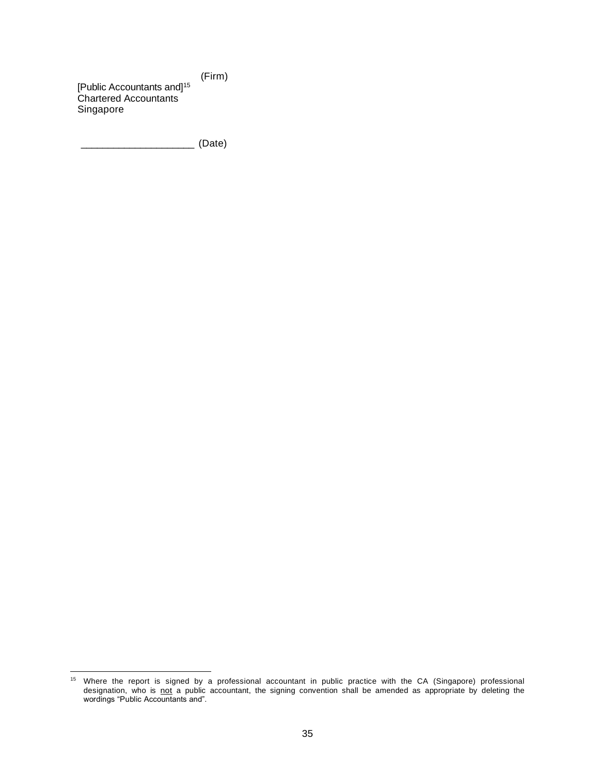(Firm) [Public Accountants and]<sup>15</sup> Chartered Accountants Singapore

\_\_\_\_\_\_\_\_\_\_\_\_\_\_\_\_\_\_\_\_\_ (Date)

<sup>&</sup>lt;sup>15</sup> Where the report is signed by a professional accountant in public practice with the CA (Singapore) professional designation, who is not a public accountant, the signing convention shall be amended as appropriate by deleting the wordings "Public Accountants and".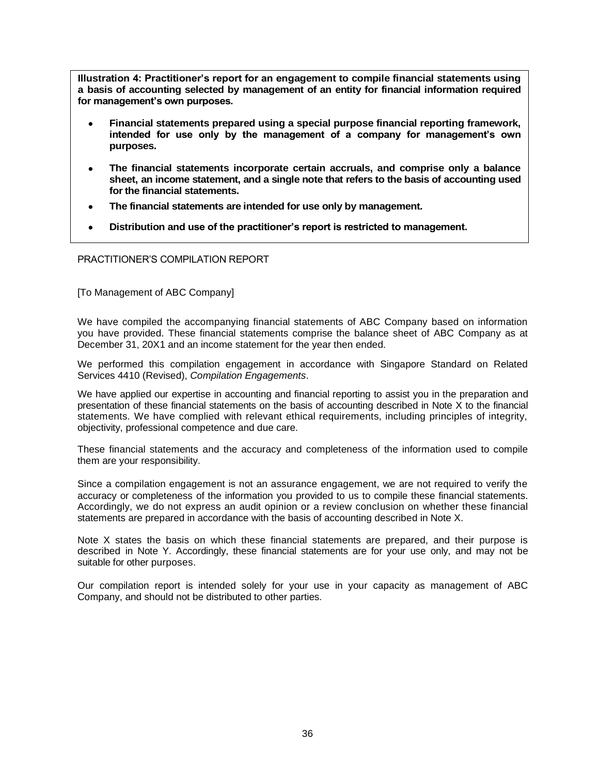**Illustration 4: Practitioner's report for an engagement to compile financial statements using a basis of accounting selected by management of an entity for financial information required for management's own purposes.**

- **Financial statements prepared using a special purpose financial reporting framework, intended for use only by the management of a company for management's own purposes.**
- **The financial statements incorporate certain accruals, and comprise only a balance sheet, an income statement, and a single note that refers to the basis of accounting used for the financial statements.**
- **The financial statements are intended for use only by management.**
- **Distribution and use of the practitioner's report is restricted to management.**

PRACTITIONER'S COMPILATION REPORT

[To Management of ABC Company]

We have compiled the accompanying financial statements of ABC Company based on information you have provided. These financial statements comprise the balance sheet of ABC Company as at December 31, 20X1 and an income statement for the year then ended.

We performed this compilation engagement in accordance with Singapore Standard on Related Services 4410 (Revised), *Compilation Engagements*.

We have applied our expertise in accounting and financial reporting to assist you in the preparation and presentation of these financial statements on the basis of accounting described in Note X to the financial statements. We have complied with relevant ethical requirements, including principles of integrity, objectivity, professional competence and due care.

These financial statements and the accuracy and completeness of the information used to compile them are your responsibility.

Since a compilation engagement is not an assurance engagement, we are not required to verify the accuracy or completeness of the information you provided to us to compile these financial statements. Accordingly, we do not express an audit opinion or a review conclusion on whether these financial statements are prepared in accordance with the basis of accounting described in Note X.

Note X states the basis on which these financial statements are prepared, and their purpose is described in Note Y. Accordingly, these financial statements are for your use only, and may not be suitable for other purposes.

Our compilation report is intended solely for your use in your capacity as management of ABC Company, and should not be distributed to other parties.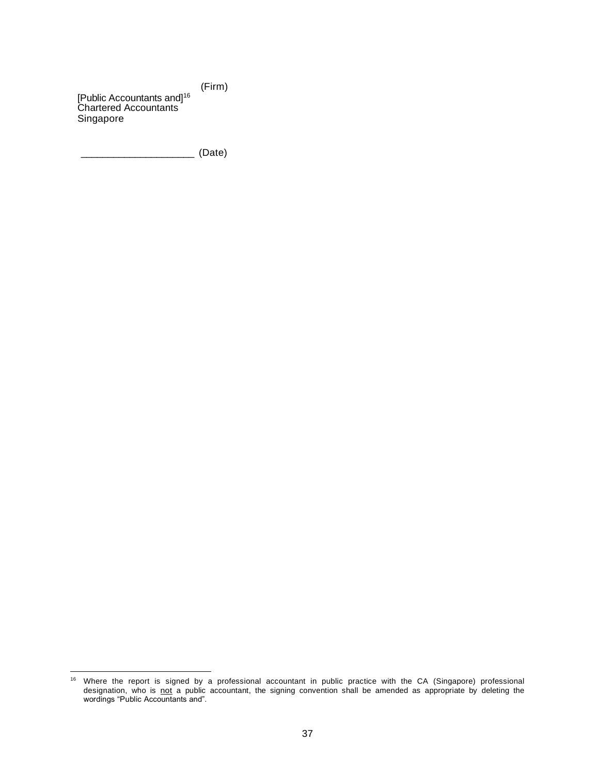(Firm) [Public Accountants and]<sup>16</sup> Chartered Accountants Singapore

\_\_\_\_\_\_\_\_\_\_\_\_\_\_\_\_\_\_\_\_\_ (Date)

<sup>&</sup>lt;sup>16</sup> Where the report is signed by a professional accountant in public practice with the CA (Singapore) professional designation, who is not a public accountant, the signing convention shall be amended as appropriate by deleting the wordings "Public Accountants and".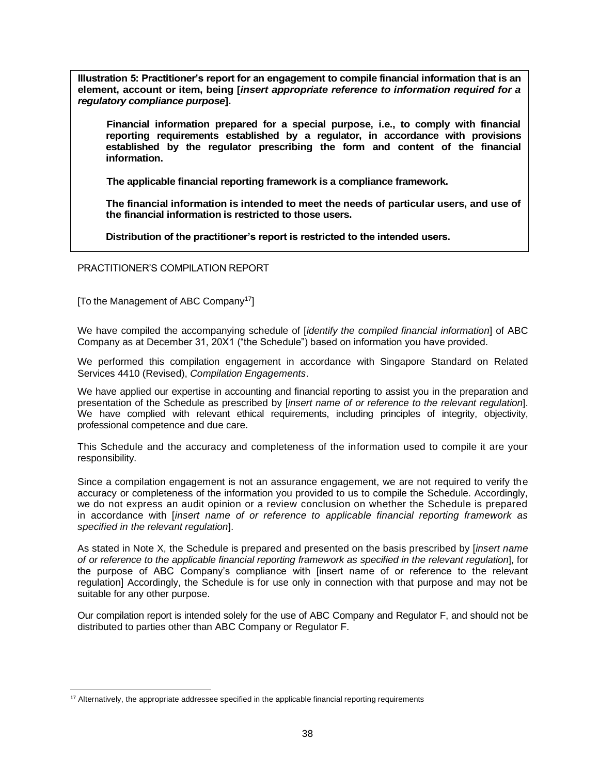**Illustration 5: Practitioner's report for an engagement to compile financial information that is an element, account or item, being [***insert appropriate reference to information required for a regulatory compliance purpose***].**

.**Financial information prepared for a special purpose, i.e., to comply with financial reporting requirements established by a regulator, in accordance with provisions established by the regulator prescribing the form and content of the financial information.**

.**The applicable financial reporting framework is a compliance framework.**

**The financial information is intended to meet the needs of particular users, and use of the financial information is restricted to those users.**

**Distribution of the practitioner's report is restricted to the intended users.**

PRACTITIONER'S COMPILATION REPORT

[To the Management of ABC Company<sup>17</sup>]

We have compiled the accompanying schedule of [*identify the compiled financial information*] of ABC Company as at December 31, 20X1 ("the Schedule") based on information you have provided.

We performed this compilation engagement in accordance with Singapore Standard on Related Services 4410 (Revised), *Compilation Engagements*.

We have applied our expertise in accounting and financial reporting to assist you in the preparation and presentation of the Schedule as prescribed by [*insert name of or reference to the relevant regulation*]. We have complied with relevant ethical requirements, including principles of integrity, objectivity, professional competence and due care.

This Schedule and the accuracy and completeness of the information used to compile it are your responsibility.

Since a compilation engagement is not an assurance engagement, we are not required to verify the accuracy or completeness of the information you provided to us to compile the Schedule. Accordingly, we do not express an audit opinion or a review conclusion on whether the Schedule is prepared in accordance with [*insert name of or reference to applicable financial reporting framework as specified in the relevant regulation*].

As stated in Note X, the Schedule is prepared and presented on the basis prescribed by [*insert name of or reference to the applicable financial reporting framework as specified in the relevant regulation*], for the purpose of ABC Company's compliance with [insert name of or reference to the relevant regulation] Accordingly, the Schedule is for use only in connection with that purpose and may not be suitable for any other purpose.

Our compilation report is intended solely for the use of ABC Company and Regulator F, and should not be distributed to parties other than ABC Company or Regulator F.

<sup>&</sup>lt;sup>17</sup> Alternatively, the appropriate addressee specified in the applicable financial reporting requirements